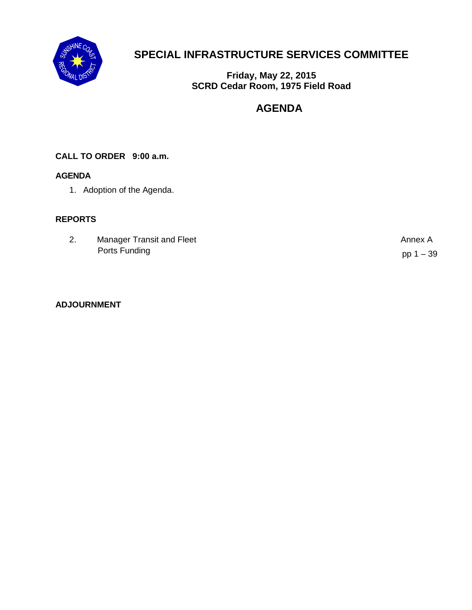

## **SPECIAL INFRASTRUCTURE SERVICES COMMITTEE**

**Friday, May 22, 2015 SCRD Cedar Room, 1975 Field Road** 

### **AGENDA**

#### **CALL TO ORDER 9:00 a.m.**

#### **AGENDA**

1. Adoption of the Agenda.

#### **REPORTS**

| ۷. | Manager Transit and Fleet | Annex A     |
|----|---------------------------|-------------|
|    | Ports Funding             | pp $1 - 39$ |

#### **ADJOURNMENT**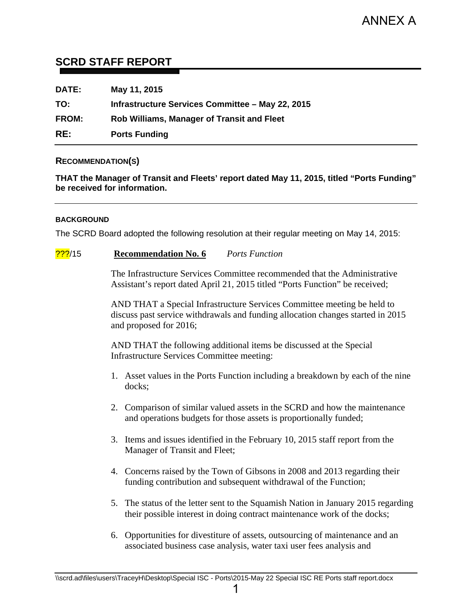#### <span id="page-1-0"></span>**SCRD STAFF REPORT**

| <b>DATE:</b> | May 11, 2015                                      |
|--------------|---------------------------------------------------|
| TO:          | Infrastructure Services Committee - May 22, 2015  |
| <b>FROM:</b> | <b>Rob Williams, Manager of Transit and Fleet</b> |
| RE:          | <b>Ports Funding</b>                              |

#### **RECOMMENDATION(S)**

**THAT the Manager of Transit and Fleets' report dated May 11, 2015, titled "Ports Funding" be received for information.** 

#### **BACKGROUND**

The SCRD Board adopted the following resolution at their regular meeting on May 14, 2015:

#### ???/15 **Recommendation No. 6** *Ports Function*

The Infrastructure Services Committee recommended that the Administrative Assistant's report dated April 21, 2015 titled "Ports Function" be received;

AND THAT a Special Infrastructure Services Committee meeting be held to discuss past service withdrawals and funding allocation changes started in 2015 and proposed for 2016;

AND THAT the following additional items be discussed at the Special Infrastructure Services Committee meeting:

- 1. Asset values in the Ports Function including a breakdown by each of the nine docks;
- 2. Comparison of similar valued assets in the SCRD and how the maintenance and operations budgets for those assets is proportionally funded;
- 3. Items and issues identified in the February 10, 2015 staff report from the Manager of Transit and Fleet;
- 4. Concerns raised by the Town of Gibsons in 2008 and 2013 regarding their funding contribution and subsequent withdrawal of the Function;
- 5. The status of the letter sent to the Squamish Nation in January 2015 regarding their possible interest in doing contract maintenance work of the docks;
- 6. Opportunities for divestiture of assets, outsourcing of maintenance and an associated business case analysis, water taxi user fees analysis and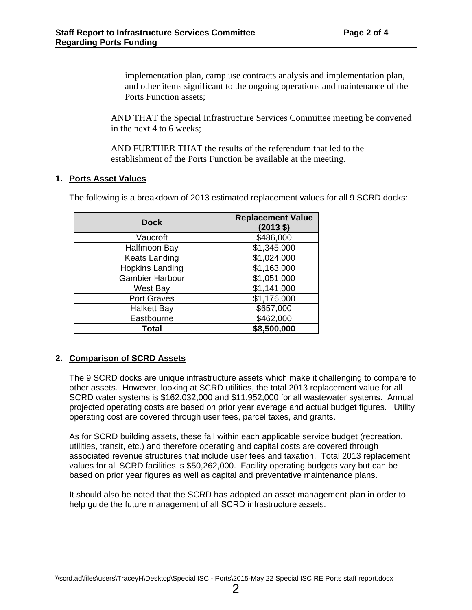implementation plan, camp use contracts analysis and implementation plan, and other items significant to the ongoing operations and maintenance of the Ports Function assets;

AND THAT the Special Infrastructure Services Committee meeting be convened in the next 4 to 6 weeks;

AND FURTHER THAT the results of the referendum that led to the establishment of the Ports Function be available at the meeting.

#### **1. Ports Asset Values**

The following is a breakdown of 2013 estimated replacement values for all 9 SCRD docks:

| <b>Dock</b>            | <b>Replacement Value</b><br>$(2013 \text{ } $)$ |
|------------------------|-------------------------------------------------|
| Vaucroft               | \$486,000                                       |
| Halfmoon Bay           | \$1,345,000                                     |
| <b>Keats Landing</b>   | \$1,024,000                                     |
| <b>Hopkins Landing</b> | \$1,163,000                                     |
| <b>Gambier Harbour</b> | \$1,051,000                                     |
| <b>West Bay</b>        | \$1,141,000                                     |
| <b>Port Graves</b>     | \$1,176,000                                     |
| <b>Halkett Bay</b>     | \$657,000                                       |
| Eastbourne             | \$462,000                                       |
| Total                  | \$8,500,000                                     |

#### **2. Comparison of SCRD Assets**

The 9 SCRD docks are unique infrastructure assets which make it challenging to compare to other assets. However, looking at SCRD utilities, the total 2013 replacement value for all SCRD water systems is \$162,032,000 and \$11,952,000 for all wastewater systems. Annual projected operating costs are based on prior year average and actual budget figures. Utility operating cost are covered through user fees, parcel taxes, and grants.

As for SCRD building assets, these fall within each applicable service budget (recreation, utilities, transit, etc.) and therefore operating and capital costs are covered through associated revenue structures that include user fees and taxation. Total 2013 replacement values for all SCRD facilities is \$50,262,000. Facility operating budgets vary but can be based on prior year figures as well as capital and preventative maintenance plans.

It should also be noted that the SCRD has adopted an asset management plan in order to help guide the future management of all SCRD infrastructure assets.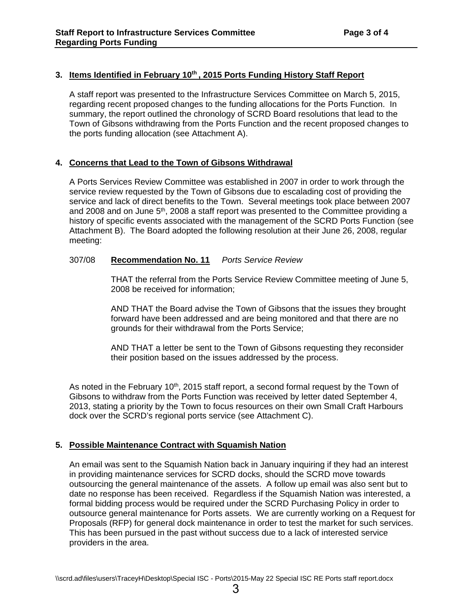#### 3. Items Identified in February 10<sup>th</sup>, 2015 Ports Funding History Staff Report

A staff report was presented to the Infrastructure Services Committee on March 5, 2015, regarding recent proposed changes to the funding allocations for the Ports Function. In summary, the report outlined the chronology of SCRD Board resolutions that lead to the Town of Gibsons withdrawing from the Ports Function and the recent proposed changes to the ports funding allocation (see Attachment A).

#### **4. Concerns that Lead to the Town of Gibsons Withdrawal**

A Ports Services Review Committee was established in 2007 in order to work through the service review requested by the Town of Gibsons due to escalading cost of providing the service and lack of direct benefits to the Town. Several meetings took place between 2007 and 2008 and on June  $5<sup>th</sup>$ , 2008 a staff report was presented to the Committee providing a history of specific events associated with the management of the SCRD Ports Function (see Attachment B). The Board adopted the following resolution at their June 26, 2008, regular meeting:

#### 307/08 **Recommendation No. 11** *Ports Service Review*

THAT the referral from the Ports Service Review Committee meeting of June 5, 2008 be received for information;

AND THAT the Board advise the Town of Gibsons that the issues they brought forward have been addressed and are being monitored and that there are no grounds for their withdrawal from the Ports Service;

AND THAT a letter be sent to the Town of Gibsons requesting they reconsider their position based on the issues addressed by the process.

As noted in the February 10<sup>th</sup>, 2015 staff report, a second formal request by the Town of Gibsons to withdraw from the Ports Function was received by letter dated September 4, 2013, stating a priority by the Town to focus resources on their own Small Craft Harbours dock over the SCRD's regional ports service (see Attachment C).

#### **5. Possible Maintenance Contract with Squamish Nation**

An email was sent to the Squamish Nation back in January inquiring if they had an interest in providing maintenance services for SCRD docks, should the SCRD move towards outsourcing the general maintenance of the assets. A follow up email was also sent but to date no response has been received. Regardless if the Squamish Nation was interested, a formal bidding process would be required under the SCRD Purchasing Policy in order to outsource general maintenance for Ports assets. We are currently working on a Request for Proposals (RFP) for general dock maintenance in order to test the market for such services. This has been pursued in the past without success due to a lack of interested service providers in the area.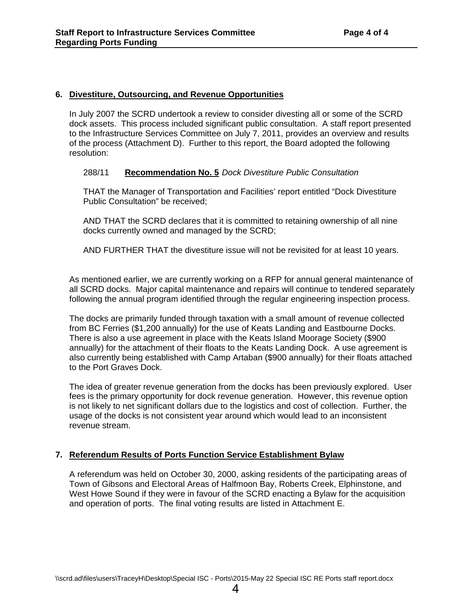#### **6. Divestiture, Outsourcing, and Revenue Opportunities**

In July 2007 the SCRD undertook a review to consider divesting all or some of the SCRD dock assets. This process included significant public consultation. A staff report presented to the Infrastructure Services Committee on July 7, 2011, provides an overview and results of the process (Attachment D). Further to this report, the Board adopted the following resolution:

#### 288/11 **Recommendation No. 5** *Dock Divestiture Public Consultation*

THAT the Manager of Transportation and Facilities' report entitled "Dock Divestiture Public Consultation" be received;

AND THAT the SCRD declares that it is committed to retaining ownership of all nine docks currently owned and managed by the SCRD;

AND FURTHER THAT the divestiture issue will not be revisited for at least 10 years.

As mentioned earlier, we are currently working on a RFP for annual general maintenance of all SCRD docks. Major capital maintenance and repairs will continue to tendered separately following the annual program identified through the regular engineering inspection process.

The docks are primarily funded through taxation with a small amount of revenue collected from BC Ferries (\$1,200 annually) for the use of Keats Landing and Eastbourne Docks. There is also a use agreement in place with the Keats Island Moorage Society (\$900 annually) for the attachment of their floats to the Keats Landing Dock. A use agreement is also currently being established with Camp Artaban (\$900 annually) for their floats attached to the Port Graves Dock.

The idea of greater revenue generation from the docks has been previously explored. User fees is the primary opportunity for dock revenue generation. However, this revenue option is not likely to net significant dollars due to the logistics and cost of collection. Further, the usage of the docks is not consistent year around which would lead to an inconsistent revenue stream.

#### **7. Referendum Results of Ports Function Service Establishment Bylaw**

A referendum was held on October 30, 2000, asking residents of the participating areas of Town of Gibsons and Electoral Areas of Halfmoon Bay, Roberts Creek, Elphinstone, and West Howe Sound if they were in favour of the SCRD enacting a Bylaw for the acquisition and operation of ports. The final voting results are listed in Attachment E.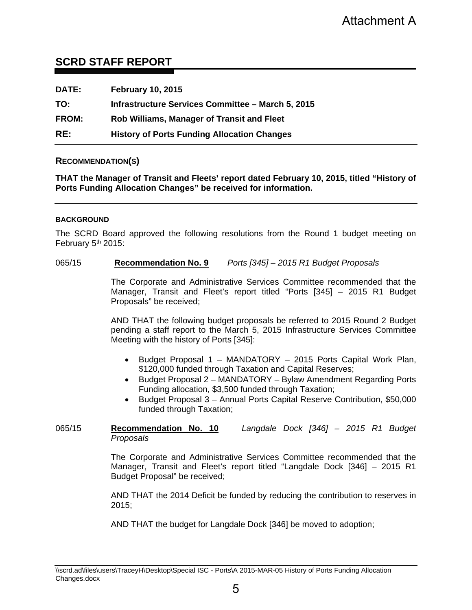#### **SCRD STAFF REPORT**

| DATE:        | <b>February 10, 2015</b>                           |
|--------------|----------------------------------------------------|
| TO:          | Infrastructure Services Committee - March 5, 2015  |
| <b>FROM:</b> | Rob Williams, Manager of Transit and Fleet         |
| RE:          | <b>History of Ports Funding Allocation Changes</b> |

#### **RECOMMENDATION(S)**

**THAT the Manager of Transit and Fleets' report dated February 10, 2015, titled "History of Ports Funding Allocation Changes" be received for information.** 

#### **BACKGROUND**

The SCRD Board approved the following resolutions from the Round 1 budget meeting on February 5<sup>th</sup> 2015:

#### 065/15 **Recommendation No. 9** *Ports [345] – 2015 R1 Budget Proposals*

The Corporate and Administrative Services Committee recommended that the Manager, Transit and Fleet's report titled "Ports [345] – 2015 R1 Budget Proposals" be received;

AND THAT the following budget proposals be referred to 2015 Round 2 Budget pending a staff report to the March 5, 2015 Infrastructure Services Committee Meeting with the history of Ports [345]:

- Budget Proposal 1 MANDATORY 2015 Ports Capital Work Plan, \$120,000 funded through Taxation and Capital Reserves;
- Budget Proposal 2 MANDATORY Bylaw Amendment Regarding Ports Funding allocation, \$3,500 funded through Taxation;
- Budget Proposal 3 Annual Ports Capital Reserve Contribution, \$50,000 funded through Taxation;

#### 065/15 **Recommendation No. 10** *Langdale Dock [346] – 2015 R1 Budget Proposals*

The Corporate and Administrative Services Committee recommended that the Manager, Transit and Fleet's report titled "Langdale Dock [346] – 2015 R1 Budget Proposal" be received;

AND THAT the 2014 Deficit be funded by reducing the contribution to reserves in 2015;

AND THAT the budget for Langdale Dock [346] be moved to adoption;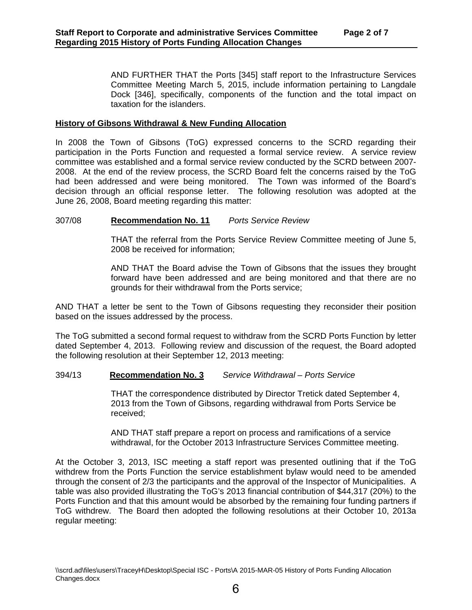AND FURTHER THAT the Ports [345] staff report to the Infrastructure Services Committee Meeting March 5, 2015, include information pertaining to Langdale Dock [346], specifically, components of the function and the total impact on taxation for the islanders.

#### **History of Gibsons Withdrawal & New Funding Allocation**

In 2008 the Town of Gibsons (ToG) expressed concerns to the SCRD regarding their participation in the Ports Function and requested a formal service review. A service review committee was established and a formal service review conducted by the SCRD between 2007- 2008. At the end of the review process, the SCRD Board felt the concerns raised by the ToG had been addressed and were being monitored. The Town was informed of the Board's decision through an official response letter. The following resolution was adopted at the June 26, 2008, Board meeting regarding this matter:

#### 307/08 **Recommendation No. 11** *Ports Service Review*

THAT the referral from the Ports Service Review Committee meeting of June 5, 2008 be received for information;

AND THAT the Board advise the Town of Gibsons that the issues they brought forward have been addressed and are being monitored and that there are no grounds for their withdrawal from the Ports service;

AND THAT a letter be sent to the Town of Gibsons requesting they reconsider their position based on the issues addressed by the process.

The ToG submitted a second formal request to withdraw from the SCRD Ports Function by letter dated September 4, 2013. Following review and discussion of the request, the Board adopted the following resolution at their September 12, 2013 meeting:

#### 394/13 **Recommendation No. 3** *Service Withdrawal – Ports Service*

THAT the correspondence distributed by Director Tretick dated September 4, 2013 from the Town of Gibsons, regarding withdrawal from Ports Service be received;

AND THAT staff prepare a report on process and ramifications of a service withdrawal, for the October 2013 Infrastructure Services Committee meeting.

At the October 3, 2013, ISC meeting a staff report was presented outlining that if the ToG withdrew from the Ports Function the service establishment bylaw would need to be amended through the consent of 2/3 the participants and the approval of the Inspector of Municipalities. A table was also provided illustrating the ToG's 2013 financial contribution of \$44,317 (20%) to the Ports Function and that this amount would be absorbed by the remaining four funding partners if ToG withdrew. The Board then adopted the following resolutions at their October 10, 2013a regular meeting: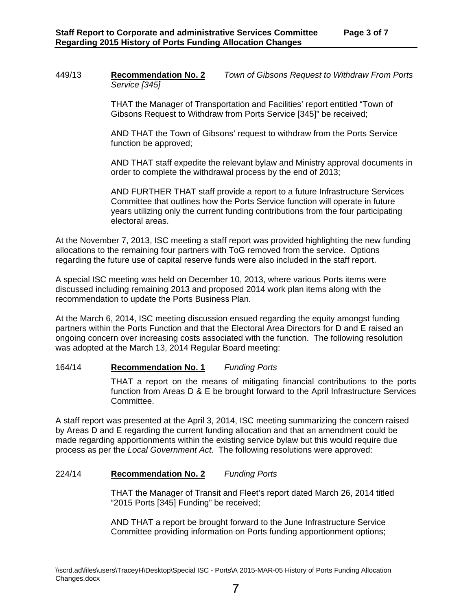449/13 **Recommendation No. 2** *Town of Gibsons Request to Withdraw From Ports Service [345]* 

> THAT the Manager of Transportation and Facilities' report entitled "Town of Gibsons Request to Withdraw from Ports Service [345]" be received;

AND THAT the Town of Gibsons' request to withdraw from the Ports Service function be approved;

AND THAT staff expedite the relevant bylaw and Ministry approval documents in order to complete the withdrawal process by the end of 2013;

AND FURTHER THAT staff provide a report to a future Infrastructure Services Committee that outlines how the Ports Service function will operate in future years utilizing only the current funding contributions from the four participating electoral areas.

At the November 7, 2013, ISC meeting a staff report was provided highlighting the new funding allocations to the remaining four partners with ToG removed from the service. Options regarding the future use of capital reserve funds were also included in the staff report.

A special ISC meeting was held on December 10, 2013, where various Ports items were discussed including remaining 2013 and proposed 2014 work plan items along with the recommendation to update the Ports Business Plan.

At the March 6, 2014, ISC meeting discussion ensued regarding the equity amongst funding partners within the Ports Function and that the Electoral Area Directors for D and E raised an ongoing concern over increasing costs associated with the function. The following resolution was adopted at the March 13, 2014 Regular Board meeting:

#### 164/14 **Recommendation No. 1** *Funding Ports*

THAT a report on the means of mitigating financial contributions to the ports function from Areas D & E be brought forward to the April Infrastructure Services Committee.

A staff report was presented at the April 3, 2014, ISC meeting summarizing the concern raised by Areas D and E regarding the current funding allocation and that an amendment could be made regarding apportionments within the existing service bylaw but this would require due process as per the *Local Government Act*. The following resolutions were approved:

#### 224/14 **Recommendation No. 2** *Funding Ports*

THAT the Manager of Transit and Fleet's report dated March 26, 2014 titled "2015 Ports [345] Funding" be received;

AND THAT a report be brought forward to the June Infrastructure Service Committee providing information on Ports funding apportionment options;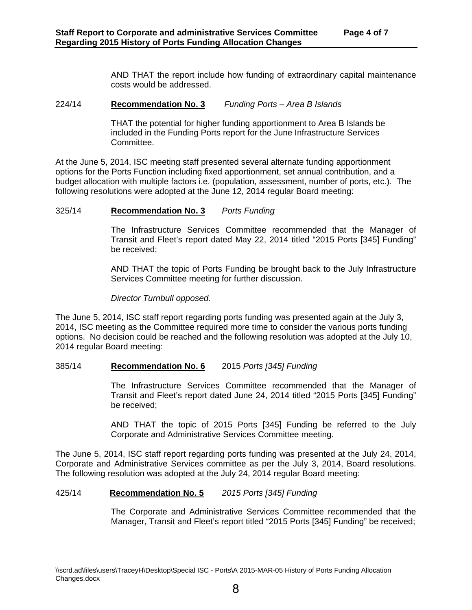AND THAT the report include how funding of extraordinary capital maintenance costs would be addressed.

#### 224/14 **Recommendation No. 3** *Funding Ports – Area B Islands*

THAT the potential for higher funding apportionment to Area B Islands be included in the Funding Ports report for the June Infrastructure Services Committee.

At the June 5, 2014, ISC meeting staff presented several alternate funding apportionment options for the Ports Function including fixed apportionment, set annual contribution, and a budget allocation with multiple factors i.e. (population, assessment, number of ports, etc.). The following resolutions were adopted at the June 12, 2014 regular Board meeting:

#### 325/14 **Recommendation No. 3** *Ports Funding*

The Infrastructure Services Committee recommended that the Manager of Transit and Fleet's report dated May 22, 2014 titled "2015 Ports [345] Funding" be received;

AND THAT the topic of Ports Funding be brought back to the July Infrastructure Services Committee meeting for further discussion.

*Director Turnbull opposed.* 

The June 5, 2014, ISC staff report regarding ports funding was presented again at the July 3, 2014, ISC meeting as the Committee required more time to consider the various ports funding options. No decision could be reached and the following resolution was adopted at the July 10, 2014 regular Board meeting:

#### 385/14 **Recommendation No. 6** 2015 *Ports [345] Funding*

The Infrastructure Services Committee recommended that the Manager of Transit and Fleet's report dated June 24, 2014 titled "2015 Ports [345] Funding" be received;

AND THAT the topic of 2015 Ports [345] Funding be referred to the July Corporate and Administrative Services Committee meeting.

The June 5, 2014, ISC staff report regarding ports funding was presented at the July 24, 2014, Corporate and Administrative Services committee as per the July 3, 2014, Board resolutions. The following resolution was adopted at the July 24, 2014 regular Board meeting:

#### 425/14 **Recommendation No. 5** *2015 Ports [345] Funding*

The Corporate and Administrative Services Committee recommended that the Manager, Transit and Fleet's report titled "2015 Ports [345] Funding" be received;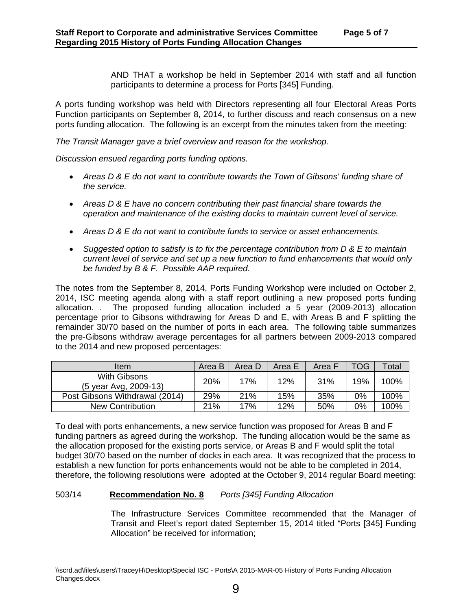AND THAT a workshop be held in September 2014 with staff and all function participants to determine a process for Ports [345] Funding.

A ports funding workshop was held with Directors representing all four Electoral Areas Ports Function participants on September 8, 2014, to further discuss and reach consensus on a new ports funding allocation. The following is an excerpt from the minutes taken from the meeting:

*The Transit Manager gave a brief overview and reason for the workshop.* 

*Discussion ensued regarding ports funding options.* 

- *Areas D & E do not want to contribute towards the Town of Gibsons' funding share of the service.*
- *Areas D & E have no concern contributing their past financial share towards the operation and maintenance of the existing docks to maintain current level of service.*
- *Areas D & E do not want to contribute funds to service or asset enhancements.*
- *Suggested option to satisfy is to fix the percentage contribution from D & E to maintain current level of service and set up a new function to fund enhancements that would only be funded by B & F. Possible AAP required.*

The notes from the September 8, 2014, Ports Funding Workshop were included on October 2, 2014, ISC meeting agenda along with a staff report outlining a new proposed ports funding allocation. . The proposed funding allocation included a 5 year (2009-2013) allocation percentage prior to Gibsons withdrawing for Areas D and E, with Areas B and F splitting the remainder 30/70 based on the number of ports in each area. The following table summarizes the pre-Gibsons withdraw average percentages for all partners between 2009-2013 compared to the 2014 and new proposed percentages:

| Item                                  | Area B | Area D | Area E | Area F | TOG | Total |
|---------------------------------------|--------|--------|--------|--------|-----|-------|
| With Gibsons<br>(5 year Avg, 2009-13) | 20%    | 17%    | 12%    | 31%    | 19% | 100%  |
| Post Gibsons Withdrawal (2014)        | 29%    | 21%    | 15%    | 35%    | 0%  | 100%  |
| <b>New Contribution</b>               | 21%    | 17%    | 12%    | 50%    | 0%  | 100%  |

To deal with ports enhancements, a new service function was proposed for Areas B and F funding partners as agreed during the workshop. The funding allocation would be the same as the allocation proposed for the existing ports service, or Areas B and F would split the total budget 30/70 based on the number of docks in each area. It was recognized that the process to establish a new function for ports enhancements would not be able to be completed in 2014, therefore, the following resolutions were adopted at the October 9, 2014 regular Board meeting:

#### 503/14 **Recommendation No. 8** *Ports [345] Funding Allocation*

The Infrastructure Services Committee recommended that the Manager of Transit and Fleet's report dated September 15, 2014 titled "Ports [345] Funding Allocation" be received for information;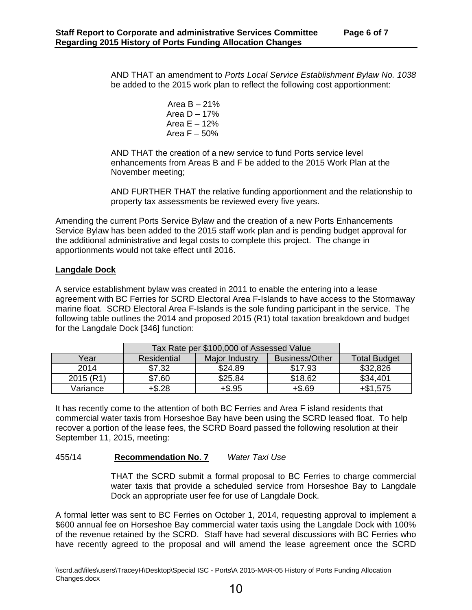AND THAT an amendment to *Ports Local Service Establishment Bylaw No. 1038*  be added to the 2015 work plan to reflect the following cost apportionment:

> Area  $B - 21%$ Area  $D - 17%$ Area  $E - 12%$ Area  $F - 50%$

AND THAT the creation of a new service to fund Ports service level enhancements from Areas B and F be added to the 2015 Work Plan at the November meeting;

AND FURTHER THAT the relative funding apportionment and the relationship to property tax assessments be reviewed every five years.

Amending the current Ports Service Bylaw and the creation of a new Ports Enhancements Service Bylaw has been added to the 2015 staff work plan and is pending budget approval for the additional administrative and legal costs to complete this project. The change in apportionments would not take effect until 2016.

#### **Langdale Dock**

A service establishment bylaw was created in 2011 to enable the entering into a lease agreement with BC Ferries for SCRD Electoral Area F-Islands to have access to the Stormaway marine float. SCRD Electoral Area F-Islands is the sole funding participant in the service. The following table outlines the 2014 and proposed 2015 (R1) total taxation breakdown and budget for the Langdale Dock [346] function:

|           | Tax Rate per \$100,000 of Assessed Value |                |                |                     |
|-----------|------------------------------------------|----------------|----------------|---------------------|
| Year      | Residential                              | Major Industry | Business/Other | <b>Total Budget</b> |
| 2014      | \$7.32                                   | \$24.89        | \$17.93        | \$32,826            |
| 2015 (R1) | \$7.60                                   | \$25.84        | \$18.62        | \$34,401            |
| Variance  | $+$ \$.28                                | $+$ \$.95      | $+ $.69$       | $+$ \$1,575         |

It has recently come to the attention of both BC Ferries and Area F island residents that commercial water taxis from Horseshoe Bay have been using the SCRD leased float. To help recover a portion of the lease fees, the SCRD Board passed the following resolution at their September 11, 2015, meeting:

#### 455/14 **Recommendation No. 7** *Water Taxi Use*

THAT the SCRD submit a formal proposal to BC Ferries to charge commercial water taxis that provide a scheduled service from Horseshoe Bay to Langdale Dock an appropriate user fee for use of Langdale Dock.

A formal letter was sent to BC Ferries on October 1, 2014, requesting approval to implement a \$600 annual fee on Horseshoe Bay commercial water taxis using the Langdale Dock with 100% of the revenue retained by the SCRD. Staff have had several discussions with BC Ferries who have recently agreed to the proposal and will amend the lease agreement once the SCRD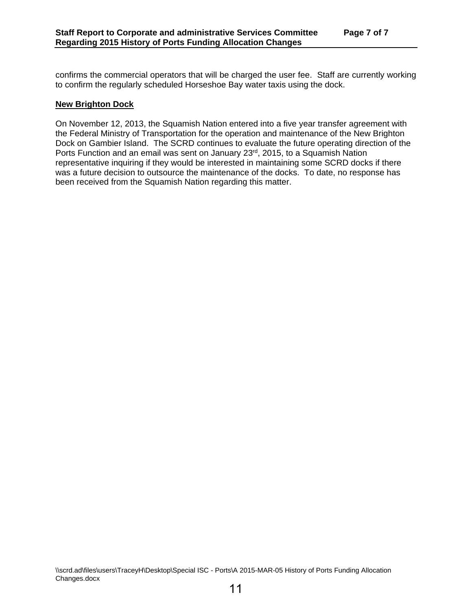confirms the commercial operators that will be charged the user fee. Staff are currently working to confirm the regularly scheduled Horseshoe Bay water taxis using the dock.

#### **New Brighton Dock**

On November 12, 2013, the Squamish Nation entered into a five year transfer agreement with the Federal Ministry of Transportation for the operation and maintenance of the New Brighton Dock on Gambier Island. The SCRD continues to evaluate the future operating direction of the Ports Function and an email was sent on January 23<sup>rd</sup>, 2015, to a Squamish Nation representative inquiring if they would be interested in maintaining some SCRD docks if there was a future decision to outsource the maintenance of the docks. To date, no response has been received from the Squamish Nation regarding this matter.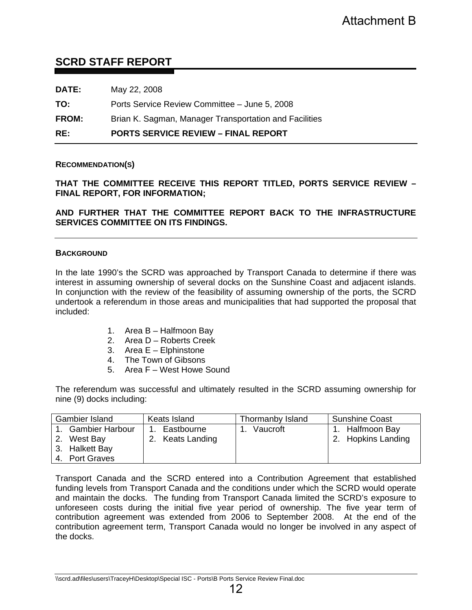#### **SCRD STAFF REPORT**

| RE:          | <b>PORTS SERVICE REVIEW – FINAL REPORT</b>             |
|--------------|--------------------------------------------------------|
| <b>FROM:</b> | Brian K. Sagman, Manager Transportation and Facilities |
| TO:          | Ports Service Review Committee - June 5, 2008          |
| <b>DATE:</b> | May 22, 2008                                           |

#### **RECOMMENDATION(S)**

**THAT THE COMMITTEE RECEIVE THIS REPORT TITLED, PORTS SERVICE REVIEW – FINAL REPORT, FOR INFORMATION;** 

**AND FURTHER THAT THE COMMITTEE REPORT BACK TO THE INFRASTRUCTURE SERVICES COMMITTEE ON ITS FINDINGS.** 

#### **BACKGROUND**

In the late 1990's the SCRD was approached by Transport Canada to determine if there was interest in assuming ownership of several docks on the Sunshine Coast and adjacent islands. In conjunction with the review of the feasibility of assuming ownership of the ports, the SCRD undertook a referendum in those areas and municipalities that had supported the proposal that included:

- 1. Area B Halfmoon Bay
- 2. Area D Roberts Creek
- 3. Area E Elphinstone
- 4. The Town of Gibsons
- 5. Area F West Howe Sound

The referendum was successful and ultimately resulted in the SCRD assuming ownership for nine (9) docks including:

| <b>Gambier Island</b> | Keats Island     | Thormanby Island      | Sunshine Coast     |
|-----------------------|------------------|-----------------------|--------------------|
| 1. Gambier Harbour    | Eastbourne<br>1. | Vaucroft<br>$\sim$ 1. | 1. Halfmoon Bay    |
| 2. West Bay           | 2. Keats Landing |                       | 2. Hopkins Landing |
| 3. Halkett Bay        |                  |                       |                    |
| l 4. Port Graves      |                  |                       |                    |

Transport Canada and the SCRD entered into a Contribution Agreement that established funding levels from Transport Canada and the conditions under which the SCRD would operate and maintain the docks. The funding from Transport Canada limited the SCRD's exposure to unforeseen costs during the initial five year period of ownership. The five year term of contribution agreement was extended from 2006 to September 2008. At the end of the contribution agreement term, Transport Canada would no longer be involved in any aspect of the docks. Attachment B<br>
e – June 5, 2008<br>
Insportation and Facilities<br>
INAL REPORT<br>
INAL REPORT<br>
EPORT TITLED, PORTS SERVICE REVIEW<br>
REPORT BACK TO THE INFRASTRUCTURE<br>
At scan the Sunsing ownership of the ports, the SCRD<br>
of a sumin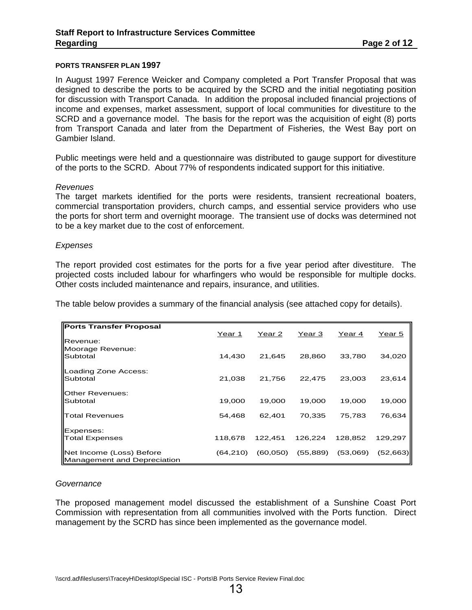#### **PORTS TRANSFER PLAN 1997**

In August 1997 Ference Weicker and Company completed a Port Transfer Proposal that was designed to describe the ports to be acquired by the SCRD and the initial negotiating position for discussion with Transport Canada. In addition the proposal included financial projections of income and expenses, market assessment, support of local communities for divestiture to the SCRD and a governance model. The basis for the report was the acquisition of eight (8) ports from Transport Canada and later from the Department of Fisheries, the West Bay port on Gambier Island.

Public meetings were held and a questionnaire was distributed to gauge support for divestiture of the ports to the SCRD. About 77% of respondents indicated support for this initiative.

#### *Revenues*

The target markets identified for the ports were residents, transient recreational boaters, commercial transportation providers, church camps, and essential service providers who use the ports for short term and overnight moorage. The transient use of docks was determined not to be a key market due to the cost of enforcement.

#### *Expenses*

The report provided cost estimates for the ports for a five year period after divestiture. The projected costs included labour for wharfingers who would be responsible for multiple docks. Other costs included maintenance and repairs, insurance, and utilities.

The table below provides a summary of the financial analysis (see attached copy for details).

| Ports Transfer Proposal                                         |           |           |           |          |           |
|-----------------------------------------------------------------|-----------|-----------|-----------|----------|-----------|
| <b>Revenue:</b>                                                 | Year 1    | Year 2    | Year 3    | Year 4   | Year 5    |
| Moorage Revenue:<br>Subtotal                                    | 14,430    | 21,645    | 28,860    | 33,780   | 34,020    |
| Loading Zone Access:<br>Subtotal                                | 21,038    | 21,756    | 22,475    | 23,003   | 23,614    |
| <b>Other Revenues:</b><br>Subtotal                              | 19,000    | 19,000    | 19,000    | 19,000   | 19,000    |
| <b>Total Revenues</b>                                           | 54,468    | 62,401    | 70,335    | 75,783   | 76,634    |
| Expenses:                                                       |           |           |           |          |           |
| <b>Total Expenses</b>                                           | 118,678   | 122.451   | 126,224   | 128,852  | 129.297   |
| Net Income (Loss) Before<br><b>IManagement and Depreciation</b> | (64, 210) | (60, 050) | (55, 889) | (53,069) | (52, 663) |

#### *Governance*

The proposed management model discussed the establishment of a Sunshine Coast Port Commission with representation from all communities involved with the Ports function. Direct management by the SCRD has since been implemented as the governance model.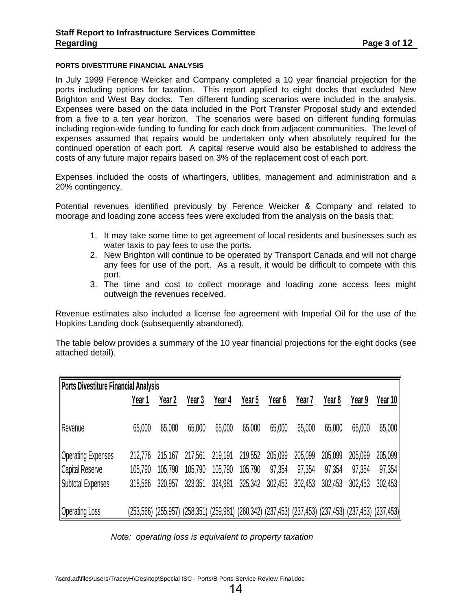#### **PORTS DIVESTITURE FINANCIAL ANALYSIS**

In July 1999 Ference Weicker and Company completed a 10 year financial projection for the ports including options for taxation. This report applied to eight docks that excluded New Brighton and West Bay docks. Ten different funding scenarios were included in the analysis. Expenses were based on the data included in the Port Transfer Proposal study and extended from a five to a ten year horizon. The scenarios were based on different funding formulas including region-wide funding to funding for each dock from adjacent communities. The level of expenses assumed that repairs would be undertaken only when absolutely required for the continued operation of each port. A capital reserve would also be established to address the costs of any future major repairs based on 3% of the replacement cost of each port.

Expenses included the costs of wharfingers, utilities, management and administration and a 20% contingency.

Potential revenues identified previously by Ference Weicker & Company and related to moorage and loading zone access fees were excluded from the analysis on the basis that:

- 1. It may take some time to get agreement of local residents and businesses such as water taxis to pay fees to use the ports.
- 2. New Brighton will continue to be operated by Transport Canada and will not charge any fees for use of the port. As a result, it would be difficult to compete with this port.
- 3. The time and cost to collect moorage and loading zone access fees might outweigh the revenues received.

Revenue estimates also included a license fee agreement with Imperial Oil for the use of the Hopkins Landing dock (subsequently abandoned).

The table below provides a summary of the 10 year financial projections for the eight docks (see attached detail).

| <b>Ports Divestiture Financial Analysis</b> |         |                     |         |                         |         |                                                                         |         |         |         |         |
|---------------------------------------------|---------|---------------------|---------|-------------------------|---------|-------------------------------------------------------------------------|---------|---------|---------|---------|
|                                             | Year 1  | Year 2              | Year 3  | Year 4                  | Year 5  | Year 6                                                                  | Year 7  | Year 8  | Year 9  | Year 10 |
| Revenue                                     | 65,000  | 65,000              | 65,000  | 65,000                  | 65,000  | 65,000                                                                  | 65,000  | 65,000  | 65,000  | 65,000  |
| <b>Operating Expenses</b>                   | 212,776 | 215,167             | 217,561 | 219,191                 | 219,552 | 205,099                                                                 | 205,099 | 205,099 | 205,099 | 205,099 |
| Capital Reserve                             | 105,790 | 105,790             | 105,790 | 105,790                 | 105,790 | 97,354                                                                  | 97,354  | 97,354  | 97,354  | 97,354  |
| Subtotal Expenses                           | 318,566 | 320,957             | 323,351 | 324,981                 | 325,342 | 302,453                                                                 | 302,453 | 302,453 | 302,453 | 302,453 |
| <b>Operating Loss</b>                       |         | (253,566) (255,957) |         | $(258,351)$ $(259,981)$ |         | $(260,342)$ $(237,453)$ $(237,453)$ $(237,453)$ $(237,453)$ $(237,453)$ |         |         |         |         |

 *Note: operating loss is equivalent to property taxation*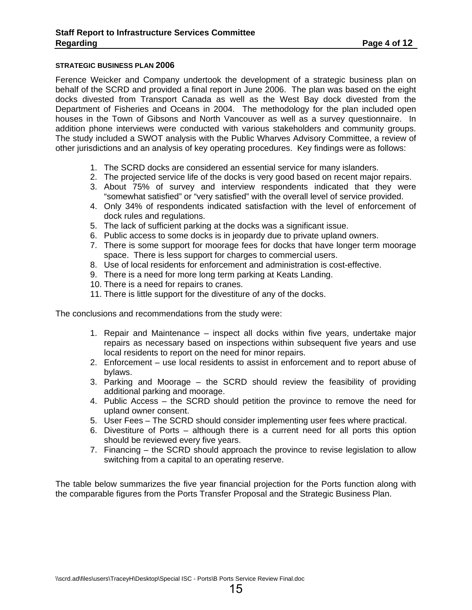#### **STRATEGIC BUSINESS PLAN 2006**

Ference Weicker and Company undertook the development of a strategic business plan on behalf of the SCRD and provided a final report in June 2006. The plan was based on the eight docks divested from Transport Canada as well as the West Bay dock divested from the Department of Fisheries and Oceans in 2004. The methodology for the plan included open houses in the Town of Gibsons and North Vancouver as well as a survey questionnaire. In addition phone interviews were conducted with various stakeholders and community groups. The study included a SWOT analysis with the Public Wharves Advisory Committee, a review of other jurisdictions and an analysis of key operating procedures. Key findings were as follows:

- 1. The SCRD docks are considered an essential service for many islanders.
- 2. The projected service life of the docks is very good based on recent major repairs.
- 3. About 75% of survey and interview respondents indicated that they were "somewhat satisfied" or "very satisfied" with the overall level of service provided.
- 4. Only 34% of respondents indicated satisfaction with the level of enforcement of dock rules and regulations.
- 5. The lack of sufficient parking at the docks was a significant issue.
- 6. Public access to some docks is in jeopardy due to private upland owners.
- 7. There is some support for moorage fees for docks that have longer term moorage space. There is less support for charges to commercial users.
- 8. Use of local residents for enforcement and administration is cost-effective.
- 9. There is a need for more long term parking at Keats Landing.
- 10. There is a need for repairs to cranes.
- 11. There is little support for the divestiture of any of the docks.

The conclusions and recommendations from the study were:

- 1. Repair and Maintenance inspect all docks within five years, undertake major repairs as necessary based on inspections within subsequent five years and use local residents to report on the need for minor repairs.
- 2. Enforcement use local residents to assist in enforcement and to report abuse of bylaws.
- 3. Parking and Moorage the SCRD should review the feasibility of providing additional parking and moorage.
- 4. Public Access the SCRD should petition the province to remove the need for upland owner consent.
- 5. User Fees The SCRD should consider implementing user fees where practical.
- 6. Divestiture of Ports although there is a current need for all ports this option should be reviewed every five years.
- 7. Financing the SCRD should approach the province to revise legislation to allow switching from a capital to an operating reserve.

The table below summarizes the five year financial projection for the Ports function along with the comparable figures from the Ports Transfer Proposal and the Strategic Business Plan.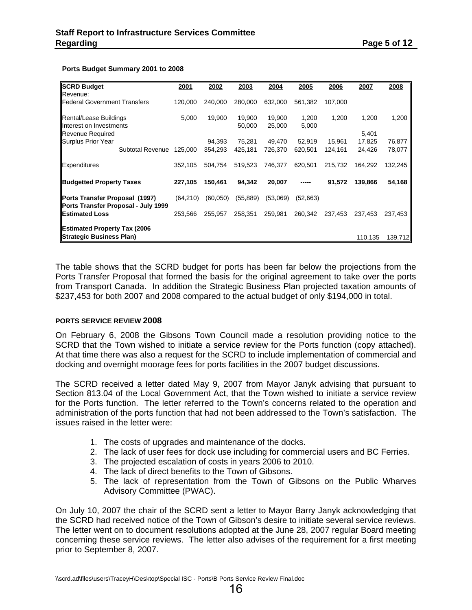#### **Ports Budget Summary 2001 to 2008**

| <b>SCRD Budget</b>                                                    | 2001     | 2002     | 2003      | 2004     | 2005     | 2006    | 2007    | 2008    |
|-----------------------------------------------------------------------|----------|----------|-----------|----------|----------|---------|---------|---------|
| Revenue:                                                              |          |          |           |          |          |         |         |         |
| <b>I</b> Federal Government Transfers                                 | 120,000  | 240,000  | 280,000   | 632,000  | 561,382  | 107,000 |         |         |
| Rental/Lease Buildings                                                | 5,000    | 19,900   | 19,900    | 19,900   | 1,200    | 1,200   | 1,200   | 1,200   |
| Interest on Investments                                               |          |          | 50,000    | 25,000   | 5,000    |         |         |         |
| <b>Revenue Required</b>                                               |          |          |           |          |          |         | 5,401   |         |
| Surplus Prior Year                                                    |          | 94,393   | 75,281    | 49,470   | 52,919   | 15,961  | 17,825  | 76,877  |
| Subtotal Revenue                                                      | 125,000  | 354,293  | 425,181   | 726,370  | 620,501  | 124,161 | 24,426  | 78,077  |
| Expenditures                                                          | 352,105  | 504,754  | 519,523   | 746,377  | 620,501  | 215,732 | 164,292 | 132,245 |
| <b>Budgetted Property Taxes</b>                                       | 227,105  | 150,461  | 94,342    | 20,007   |          | 91,572  | 139.866 | 54,168  |
| Ports Transfer Proposal (1997)<br>Ports Transfer Proposal - July 1999 | (64,210) | (60,050) | (55, 889) | (53,069) | (52,663) |         |         |         |
| <b>I</b> IEstimated Loss                                              | 253,566  | 255,957  | 258,351   | 259,981  | 260,342  | 237,453 | 237,453 | 237,453 |
| <b>Estimated Property Tax (2006</b>                                   |          |          |           |          |          |         |         |         |
| <b>Strategic Business Plan)</b>                                       |          |          |           |          |          |         | 110,135 | 139,712 |

The table shows that the SCRD budget for ports has been far below the projections from the Ports Transfer Proposal that formed the basis for the original agreement to take over the ports from Transport Canada. In addition the Strategic Business Plan projected taxation amounts of \$237,453 for both 2007 and 2008 compared to the actual budget of only \$194,000 in total.

#### **PORTS SERVICE REVIEW 2008**

On February 6, 2008 the Gibsons Town Council made a resolution providing notice to the SCRD that the Town wished to initiate a service review for the Ports function (copy attached). At that time there was also a request for the SCRD to include implementation of commercial and docking and overnight moorage fees for ports facilities in the 2007 budget discussions.

The SCRD received a letter dated May 9, 2007 from Mayor Janyk advising that pursuant to Section 813.04 of the Local Government Act, that the Town wished to initiate a service review for the Ports function. The letter referred to the Town's concerns related to the operation and administration of the ports function that had not been addressed to the Town's satisfaction. The issues raised in the letter were:

- 1. The costs of upgrades and maintenance of the docks.
- 2. The lack of user fees for dock use including for commercial users and BC Ferries.
- 3. The projected escalation of costs in years 2006 to 2010.
- 4. The lack of direct benefits to the Town of Gibsons.
- 5. The lack of representation from the Town of Gibsons on the Public Wharves Advisory Committee (PWAC).

On July 10, 2007 the chair of the SCRD sent a letter to Mayor Barry Janyk acknowledging that the SCRD had received notice of the Town of Gibson's desire to initiate several service reviews. The letter went on to document resolutions adopted at the June 28, 2007 regular Board meeting concerning these service reviews. The letter also advises of the requirement for a first meeting prior to September 8, 2007.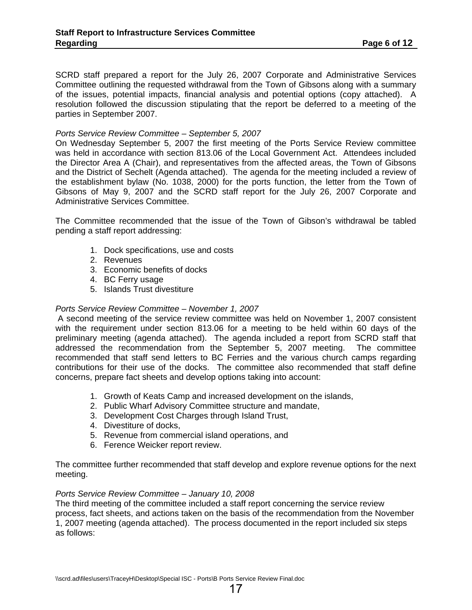SCRD staff prepared a report for the July 26, 2007 Corporate and Administrative Services Committee outlining the requested withdrawal from the Town of Gibsons along with a summary of the issues, potential impacts, financial analysis and potential options (copy attached). A resolution followed the discussion stipulating that the report be deferred to a meeting of the parties in September 2007.

#### *Ports Service Review Committee – September 5, 2007*

On Wednesday September 5, 2007 the first meeting of the Ports Service Review committee was held in accordance with section 813.06 of the Local Government Act. Attendees included the Director Area A (Chair), and representatives from the affected areas, the Town of Gibsons and the District of Sechelt (Agenda attached). The agenda for the meeting included a review of the establishment bylaw (No. 1038, 2000) for the ports function, the letter from the Town of Gibsons of May 9, 2007 and the SCRD staff report for the July 26, 2007 Corporate and Administrative Services Committee.

The Committee recommended that the issue of the Town of Gibson's withdrawal be tabled pending a staff report addressing:

- 1. Dock specifications, use and costs
- 2. Revenues
- 3. Economic benefits of docks
- 4. BC Ferry usage
- 5. Islands Trust divestiture

#### *Ports Service Review Committee – November 1, 2007*

 A second meeting of the service review committee was held on November 1, 2007 consistent with the requirement under section 813.06 for a meeting to be held within 60 days of the preliminary meeting (agenda attached). The agenda included a report from SCRD staff that addressed the recommendation from the September 5, 2007 meeting. The committee recommended that staff send letters to BC Ferries and the various church camps regarding contributions for their use of the docks. The committee also recommended that staff define concerns, prepare fact sheets and develop options taking into account:

- 1. Growth of Keats Camp and increased development on the islands,
- 2. Public Wharf Advisory Committee structure and mandate,
- 3. Development Cost Charges through Island Trust,
- 4. Divestiture of docks,
- 5. Revenue from commercial island operations, and
- 6. Ference Weicker report review.

The committee further recommended that staff develop and explore revenue options for the next meeting.

#### *Ports Service Review Committee – January 10, 2008*

The third meeting of the committee included a staff report concerning the service review process, fact sheets, and actions taken on the basis of the recommendation from the November 1, 2007 meeting (agenda attached). The process documented in the report included six steps as follows: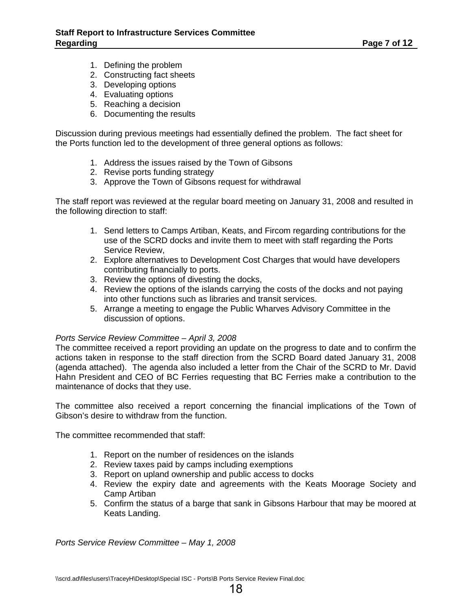- 1. Defining the problem
- 2. Constructing fact sheets
- 3. Developing options
- 4. Evaluating options
- 5. Reaching a decision
- 6. Documenting the results

Discussion during previous meetings had essentially defined the problem. The fact sheet for the Ports function led to the development of three general options as follows:

- 1. Address the issues raised by the Town of Gibsons
- 2. Revise ports funding strategy
- 3. Approve the Town of Gibsons request for withdrawal

The staff report was reviewed at the regular board meeting on January 31, 2008 and resulted in the following direction to staff:

- 1. Send letters to Camps Artiban, Keats, and Fircom regarding contributions for the use of the SCRD docks and invite them to meet with staff regarding the Ports Service Review,
- 2. Explore alternatives to Development Cost Charges that would have developers contributing financially to ports.
- 3. Review the options of divesting the docks,
- 4. Review the options of the islands carrying the costs of the docks and not paying into other functions such as libraries and transit services.
- 5. Arrange a meeting to engage the Public Wharves Advisory Committee in the discussion of options.

#### *Ports Service Review Committee – April 3, 2008*

The committee received a report providing an update on the progress to date and to confirm the actions taken in response to the staff direction from the SCRD Board dated January 31, 2008 (agenda attached). The agenda also included a letter from the Chair of the SCRD to Mr. David Hahn President and CEO of BC Ferries requesting that BC Ferries make a contribution to the maintenance of docks that they use.

The committee also received a report concerning the financial implications of the Town of Gibson's desire to withdraw from the function.

The committee recommended that staff:

- 1. Report on the number of residences on the islands
- 2. Review taxes paid by camps including exemptions
- 3. Report on upland ownership and public access to docks
- 4. Review the expiry date and agreements with the Keats Moorage Society and Camp Artiban
- 5. Confirm the status of a barge that sank in Gibsons Harbour that may be moored at Keats Landing.

*Ports Service Review Committee – May 1, 2008*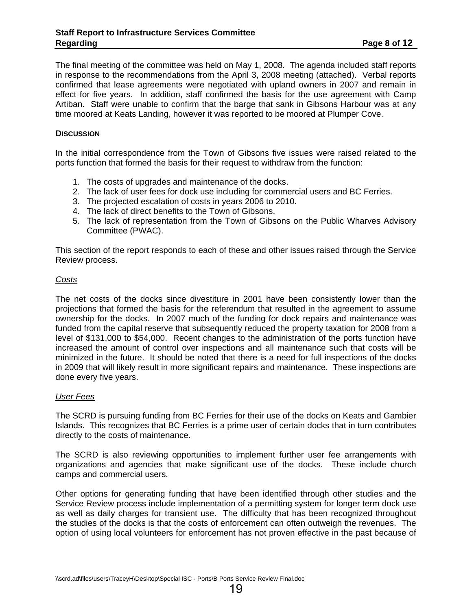The final meeting of the committee was held on May 1, 2008. The agenda included staff reports in response to the recommendations from the April 3, 2008 meeting (attached). Verbal reports confirmed that lease agreements were negotiated with upland owners in 2007 and remain in effect for five years. In addition, staff confirmed the basis for the use agreement with Camp Artiban. Staff were unable to confirm that the barge that sank in Gibsons Harbour was at any time moored at Keats Landing, however it was reported to be moored at Plumper Cove.

#### **DISCUSSION**

In the initial correspondence from the Town of Gibsons five issues were raised related to the ports function that formed the basis for their request to withdraw from the function:

- 1. The costs of upgrades and maintenance of the docks.
- 2. The lack of user fees for dock use including for commercial users and BC Ferries.
- 3. The projected escalation of costs in years 2006 to 2010.
- 4. The lack of direct benefits to the Town of Gibsons.
- 5. The lack of representation from the Town of Gibsons on the Public Wharves Advisory Committee (PWAC).

This section of the report responds to each of these and other issues raised through the Service Review process.

#### *Costs*

The net costs of the docks since divestiture in 2001 have been consistently lower than the projections that formed the basis for the referendum that resulted in the agreement to assume ownership for the docks. In 2007 much of the funding for dock repairs and maintenance was funded from the capital reserve that subsequently reduced the property taxation for 2008 from a level of \$131,000 to \$54,000. Recent changes to the administration of the ports function have increased the amount of control over inspections and all maintenance such that costs will be minimized in the future. It should be noted that there is a need for full inspections of the docks in 2009 that will likely result in more significant repairs and maintenance. These inspections are done every five years.

#### *User Fees*

The SCRD is pursuing funding from BC Ferries for their use of the docks on Keats and Gambier Islands. This recognizes that BC Ferries is a prime user of certain docks that in turn contributes directly to the costs of maintenance.

The SCRD is also reviewing opportunities to implement further user fee arrangements with organizations and agencies that make significant use of the docks. These include church camps and commercial users.

Other options for generating funding that have been identified through other studies and the Service Review process include implementation of a permitting system for longer term dock use as well as daily charges for transient use. The difficulty that has been recognized throughout the studies of the docks is that the costs of enforcement can often outweigh the revenues. The option of using local volunteers for enforcement has not proven effective in the past because of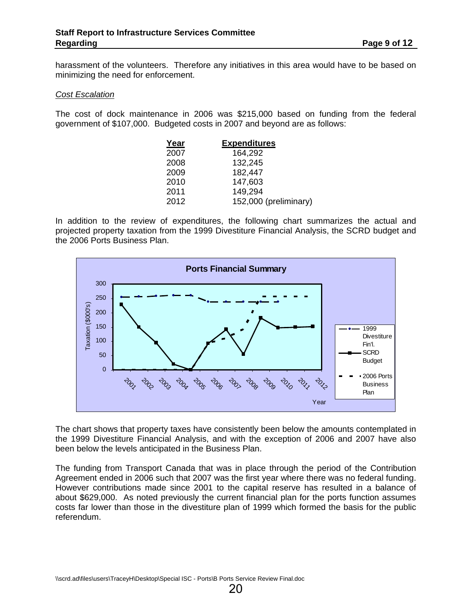harassment of the volunteers. Therefore any initiatives in this area would have to be based on minimizing the need for enforcement.

#### *Cost Escalation*

The cost of dock maintenance in 2006 was \$215,000 based on funding from the federal government of \$107,000. Budgeted costs in 2007 and beyond are as follows:

| Year | <b>Expenditures</b>   |
|------|-----------------------|
| 2007 | 164,292               |
| 2008 | 132,245               |
| 2009 | 182,447               |
| 2010 | 147,603               |
| 2011 | 149,294               |
| 2012 | 152,000 (preliminary) |

In addition to the review of expenditures, the following chart summarizes the actual and projected property taxation from the 1999 Divestiture Financial Analysis, the SCRD budget and the 2006 Ports Business Plan.



The chart shows that property taxes have consistently been below the amounts contemplated in the 1999 Divestiture Financial Analysis, and with the exception of 2006 and 2007 have also been below the levels anticipated in the Business Plan.

The funding from Transport Canada that was in place through the period of the Contribution Agreement ended in 2006 such that 2007 was the first year where there was no federal funding. However contributions made since 2001 to the capital reserve has resulted in a balance of about \$629,000. As noted previously the current financial plan for the ports function assumes costs far lower than those in the divestiture plan of 1999 which formed the basis for the public referendum.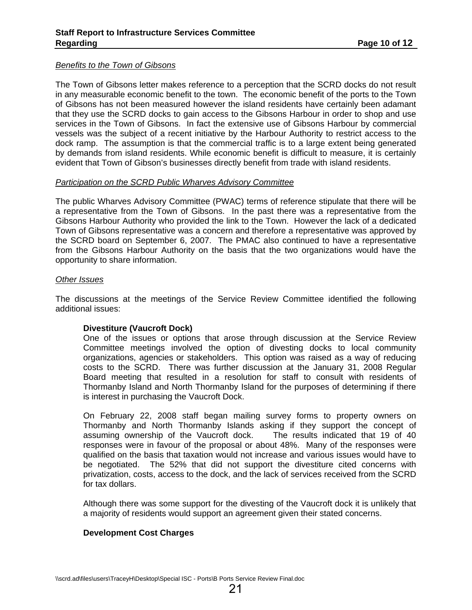#### *Benefits to the Town of Gibsons*

The Town of Gibsons letter makes reference to a perception that the SCRD docks do not result in any measurable economic benefit to the town. The economic benefit of the ports to the Town of Gibsons has not been measured however the island residents have certainly been adamant that they use the SCRD docks to gain access to the Gibsons Harbour in order to shop and use services in the Town of Gibsons. In fact the extensive use of Gibsons Harbour by commercial vessels was the subject of a recent initiative by the Harbour Authority to restrict access to the dock ramp. The assumption is that the commercial traffic is to a large extent being generated by demands from island residents. While economic benefit is difficult to measure, it is certainly evident that Town of Gibson's businesses directly benefit from trade with island residents.

#### *Participation on the SCRD Public Wharves Advisory Committee*

The public Wharves Advisory Committee (PWAC) terms of reference stipulate that there will be a representative from the Town of Gibsons. In the past there was a representative from the Gibsons Harbour Authority who provided the link to the Town. However the lack of a dedicated Town of Gibsons representative was a concern and therefore a representative was approved by the SCRD board on September 6, 2007. The PMAC also continued to have a representative from the Gibsons Harbour Authority on the basis that the two organizations would have the opportunity to share information.

#### *Other Issues*

The discussions at the meetings of the Service Review Committee identified the following additional issues:

#### **Divestiture (Vaucroft Dock)**

One of the issues or options that arose through discussion at the Service Review Committee meetings involved the option of divesting docks to local community organizations, agencies or stakeholders. This option was raised as a way of reducing costs to the SCRD. There was further discussion at the January 31, 2008 Regular Board meeting that resulted in a resolution for staff to consult with residents of Thormanby Island and North Thormanby Island for the purposes of determining if there is interest in purchasing the Vaucroft Dock.

On February 22, 2008 staff began mailing survey forms to property owners on Thormanby and North Thormanby Islands asking if they support the concept of assuming ownership of the Vaucroft dock. The results indicated that 19 of 40 responses were in favour of the proposal or about 48%. Many of the responses were qualified on the basis that taxation would not increase and various issues would have to be negotiated. The 52% that did not support the divestiture cited concerns with privatization, costs, access to the dock, and the lack of services received from the SCRD for tax dollars.

Although there was some support for the divesting of the Vaucroft dock it is unlikely that a majority of residents would support an agreement given their stated concerns.

#### **Development Cost Charges**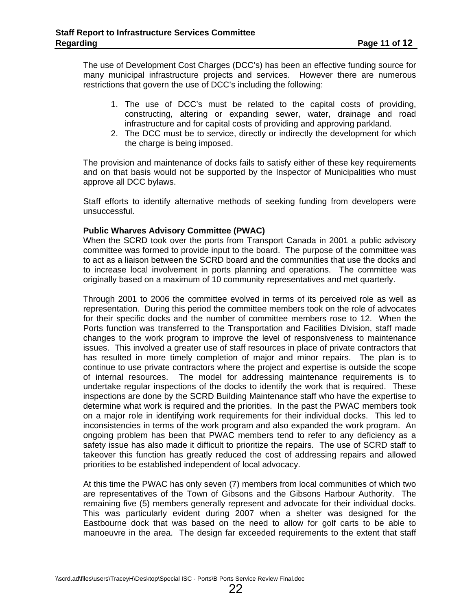The use of Development Cost Charges (DCC's) has been an effective funding source for many municipal infrastructure projects and services. However there are numerous restrictions that govern the use of DCC's including the following:

- 1. The use of DCC's must be related to the capital costs of providing, constructing, altering or expanding sewer, water, drainage and road infrastructure and for capital costs of providing and approving parkland.
- 2. The DCC must be to service, directly or indirectly the development for which the charge is being imposed.

The provision and maintenance of docks fails to satisfy either of these key requirements and on that basis would not be supported by the Inspector of Municipalities who must approve all DCC bylaws.

Staff efforts to identify alternative methods of seeking funding from developers were unsuccessful.

#### **Public Wharves Advisory Committee (PWAC)**

When the SCRD took over the ports from Transport Canada in 2001 a public advisory committee was formed to provide input to the board. The purpose of the committee was to act as a liaison between the SCRD board and the communities that use the docks and to increase local involvement in ports planning and operations. The committee was originally based on a maximum of 10 community representatives and met quarterly.

Through 2001 to 2006 the committee evolved in terms of its perceived role as well as representation. During this period the committee members took on the role of advocates for their specific docks and the number of committee members rose to 12. When the Ports function was transferred to the Transportation and Facilities Division, staff made changes to the work program to improve the level of responsiveness to maintenance issues. This involved a greater use of staff resources in place of private contractors that has resulted in more timely completion of major and minor repairs. The plan is to continue to use private contractors where the project and expertise is outside the scope of internal resources. The model for addressing maintenance requirements is to undertake regular inspections of the docks to identify the work that is required. These inspections are done by the SCRD Building Maintenance staff who have the expertise to determine what work is required and the priorities. In the past the PWAC members took on a major role in identifying work requirements for their individual docks. This led to inconsistencies in terms of the work program and also expanded the work program. An ongoing problem has been that PWAC members tend to refer to any deficiency as a safety issue has also made it difficult to prioritize the repairs. The use of SCRD staff to takeover this function has greatly reduced the cost of addressing repairs and allowed priorities to be established independent of local advocacy.

At this time the PWAC has only seven (7) members from local communities of which two are representatives of the Town of Gibsons and the Gibsons Harbour Authority. The remaining five (5) members generally represent and advocate for their individual docks. This was particularly evident during 2007 when a shelter was designed for the Eastbourne dock that was based on the need to allow for golf carts to be able to manoeuvre in the area. The design far exceeded requirements to the extent that staff

22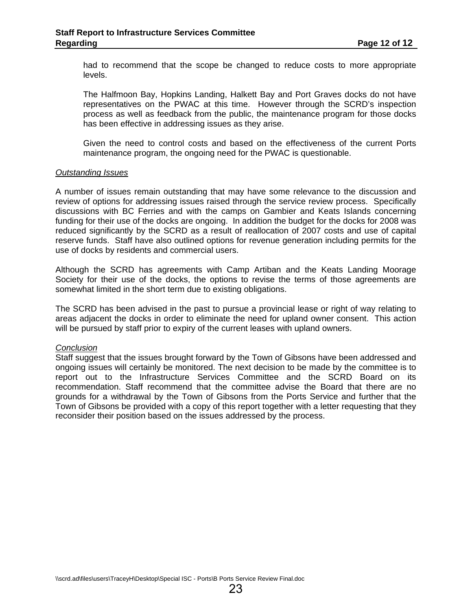had to recommend that the scope be changed to reduce costs to more appropriate levels.

The Halfmoon Bay, Hopkins Landing, Halkett Bay and Port Graves docks do not have representatives on the PWAC at this time. However through the SCRD's inspection process as well as feedback from the public, the maintenance program for those docks has been effective in addressing issues as they arise.

Given the need to control costs and based on the effectiveness of the current Ports maintenance program, the ongoing need for the PWAC is questionable.

#### *Outstanding Issues*

A number of issues remain outstanding that may have some relevance to the discussion and review of options for addressing issues raised through the service review process. Specifically discussions with BC Ferries and with the camps on Gambier and Keats Islands concerning funding for their use of the docks are ongoing. In addition the budget for the docks for 2008 was reduced significantly by the SCRD as a result of reallocation of 2007 costs and use of capital reserve funds. Staff have also outlined options for revenue generation including permits for the use of docks by residents and commercial users.

Although the SCRD has agreements with Camp Artiban and the Keats Landing Moorage Society for their use of the docks, the options to revise the terms of those agreements are somewhat limited in the short term due to existing obligations.

The SCRD has been advised in the past to pursue a provincial lease or right of way relating to areas adjacent the docks in order to eliminate the need for upland owner consent. This action will be pursued by staff prior to expiry of the current leases with upland owners.

#### *Conclusion*

Staff suggest that the issues brought forward by the Town of Gibsons have been addressed and ongoing issues will certainly be monitored. The next decision to be made by the committee is to report out to the Infrastructure Services Committee and the SCRD Board on its recommendation. Staff recommend that the committee advise the Board that there are no grounds for a withdrawal by the Town of Gibsons from the Ports Service and further that the Town of Gibsons be provided with a copy of this report together with a letter requesting that they reconsider their position based on the issues addressed by the process.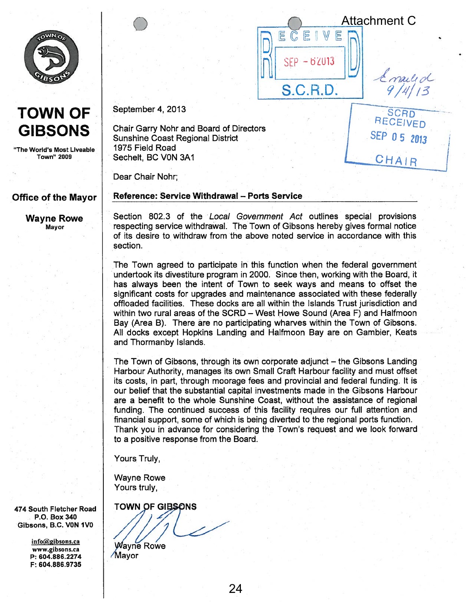

# TOWN OF **GIBSONS**

"The World's Most Liveable Town" 2009

#### Office of the Mayor

Wayne Rowe Mayor

September 4, 2013

 $\bigcirc$ 

Chair Garry Nohr and Board of Directors Sunshine Coast Regional District 1975 Field Road Sechelt, BC VON 3A1

Dear Chair Nohr;

#### Reference: Service Withdrawal — Ports Service

Section 802.3 of the Local Government Act outlines special provisions respecting service withdrawal. The Town of Gibsons hereby gives formal notice of its desire to withdraw from the above noted service in accordance with this section.

ECEI

 $SEP - 62013$ 

**S.C.R.D.** 

 $\mathbb{W}$ E

**RECEIVED** 

SEP 05 2013

CHAIR

**SCRD** 

mailed

Attachment C

The Town agreed to participate in this function when the federal governmen<sup>t</sup> undertook its divestiture program in 2000. Since then, working with the Board, it has always been the intent of Town to seek ways and means to offset the significant costs for upgrades and maintenance associated with these federally offloaded facilities. These docks are all within the Islands Trust jurisdiction and within two rural areas of the SCRD — West Howe Sound (Area F) and Halfmoon Bay (Area B). There are no participating wharves within the Town of Gibsons. All docks excep<sup>t</sup> Hopkins Landing and Halfmoon Bay are on Gambier, Keats and Thormanby Islands.

The Town of Gibsons, through its own corporate adjunct — the Gibsons Landing Harbour Authority, manages its own Small Craft Harbour facility and must offset its costs, in part, through moorage fees and provincial and federal funding. It is our belief that the substantial capital investments made in the Gibsons Harbour are <sup>a</sup> benefit to the whole Sunshine Coast, without the assistance of regional funding. The continued success of this facility requires our full attention and financial support, some of which is being diverted to the regional ports function. Thank you in advance for considering the Town's reques<sup>t</sup> and we look forward to <sup>a</sup> positive response from the Board.

Yours Truly,

Wayne Rowe Yours truly,

**TOWN OF GIBSONS** 

**Wayne Rowe Mayor** 

24

474 South Fletcher Road P.O. Box 340 Gibsons, B.C. VON IVO

> info@gibsons.ca www.gibsons.ca P: 604.886.2274 F: 604.886.9735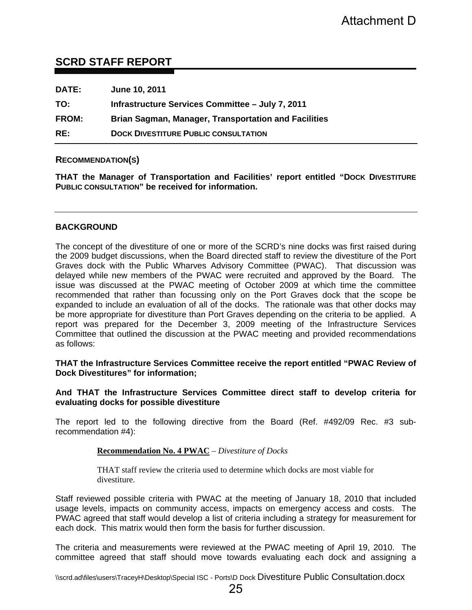#### **SCRD STAFF REPORT**

| <b>DATE:</b> | June 10, 2011                                               |
|--------------|-------------------------------------------------------------|
| TO:          | Infrastructure Services Committee - July 7, 2011            |
| <b>FROM:</b> | <b>Brian Sagman, Manager, Transportation and Facilities</b> |
| RE:          | <b>DOCK DIVESTITURE PUBLIC CONSULTATION</b>                 |

#### **RECOMMENDATION(S)**

**THAT the Manager of Transportation and Facilities' report entitled "DOCK DIVESTITURE PUBLIC CONSULTATION" be received for information.** 

#### **BACKGROUND**

The concept of the divestiture of one or more of the SCRD's nine docks was first raised during the 2009 budget discussions, when the Board directed staff to review the divestiture of the Port Graves dock with the Public Wharves Advisory Committee (PWAC). That discussion was delayed while new members of the PWAC were recruited and approved by the Board. The issue was discussed at the PWAC meeting of October 2009 at which time the committee recommended that rather than focussing only on the Port Graves dock that the scope be expanded to include an evaluation of all of the docks. The rationale was that other docks may be more appropriate for divestiture than Port Graves depending on the criteria to be applied. A report was prepared for the December 3, 2009 meeting of the Infrastructure Services Committee that outlined the discussion at the PWAC meeting and provided recommendations as follows: Attachment D<br> **Example 15 Attachment D**<br> **Examplement Attachment D**<br> **Examplement Attachment Constant Attachment Constant Attachment CPAC Constant<br>
Trachilities' report entitled "Dock Divesting directed staff to review the** 

#### **THAT the Infrastructure Services Committee receive the report entitled "PWAC Review of Dock Divestitures" for information;**

#### **And THAT the Infrastructure Services Committee direct staff to develop criteria for evaluating docks for possible divestiture**

The report led to the following directive from the Board (Ref. #492/09 Rec. #3 subrecommendation #4):

#### **Recommendation No. 4 PWAC** – *Divestiture of Docks*

THAT staff review the criteria used to determine which docks are most viable for divestiture.

Staff reviewed possible criteria with PWAC at the meeting of January 18, 2010 that included usage levels, impacts on community access, impacts on emergency access and costs. The PWAC agreed that staff would develop a list of criteria including a strategy for measurement for each dock. This matrix would then form the basis for further discussion.

The criteria and measurements were reviewed at the PWAC meeting of April 19, 2010. The committee agreed that staff should move towards evaluating each dock and assigning a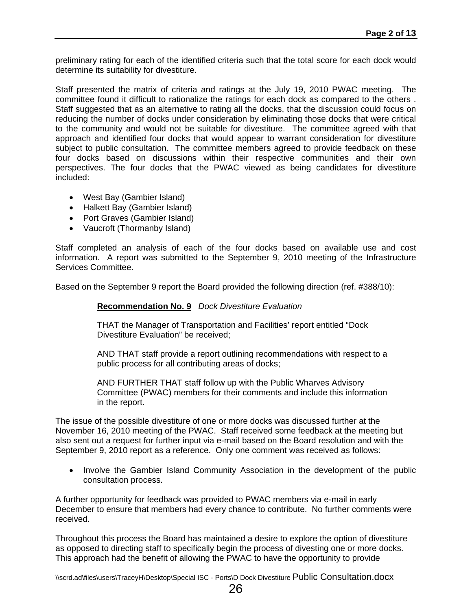preliminary rating for each of the identified criteria such that the total score for each dock would determine its suitability for divestiture.

Staff presented the matrix of criteria and ratings at the July 19, 2010 PWAC meeting. The committee found it difficult to rationalize the ratings for each dock as compared to the others . Staff suggested that as an alternative to rating all the docks, that the discussion could focus on reducing the number of docks under consideration by eliminating those docks that were critical to the community and would not be suitable for divestiture. The committee agreed with that approach and identified four docks that would appear to warrant consideration for divestiture subject to public consultation. The committee members agreed to provide feedback on these four docks based on discussions within their respective communities and their own perspectives. The four docks that the PWAC viewed as being candidates for divestiture included:

- West Bay (Gambier Island)
- Halkett Bay (Gambier Island)
- Port Graves (Gambier Island)
- Vaucroft (Thormanby Island)

Staff completed an analysis of each of the four docks based on available use and cost information. A report was submitted to the September 9, 2010 meeting of the Infrastructure Services Committee.

Based on the September 9 report the Board provided the following direction (ref. #388/10):

#### **Recommendation No. 9** *Dock Divestiture Evaluation*

THAT the Manager of Transportation and Facilities' report entitled "Dock Divestiture Evaluation" be received;

AND THAT staff provide a report outlining recommendations with respect to a public process for all contributing areas of docks;

AND FURTHER THAT staff follow up with the Public Wharves Advisory Committee (PWAC) members for their comments and include this information in the report.

The issue of the possible divestiture of one or more docks was discussed further at the November 16, 2010 meeting of the PWAC. Staff received some feedback at the meeting but also sent out a request for further input via e-mail based on the Board resolution and with the September 9, 2010 report as a reference. Only one comment was received as follows:

• Involve the Gambier Island Community Association in the development of the public consultation process.

A further opportunity for feedback was provided to PWAC members via e-mail in early December to ensure that members had every chance to contribute. No further comments were received.

Throughout this process the Board has maintained a desire to explore the option of divestiture as opposed to directing staff to specifically begin the process of divesting one or more docks. This approach had the benefit of allowing the PWAC to have the opportunity to provide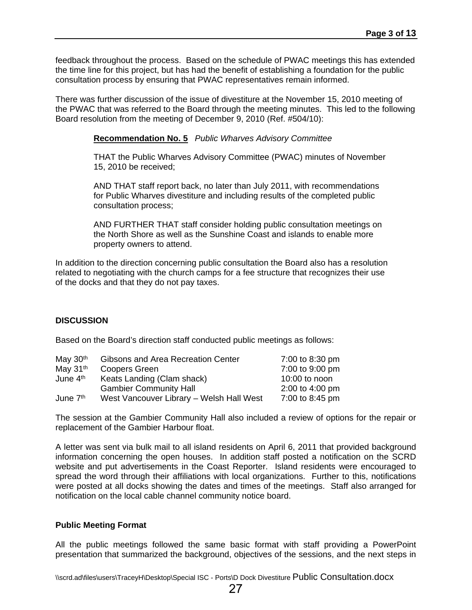feedback throughout the process. Based on the schedule of PWAC meetings this has extended the time line for this project, but has had the benefit of establishing a foundation for the public consultation process by ensuring that PWAC representatives remain informed.

There was further discussion of the issue of divestiture at the November 15, 2010 meeting of the PWAC that was referred to the Board through the meeting minutes. This led to the following Board resolution from the meeting of December 9, 2010 (Ref. #504/10):

#### **Recommendation No. 5** *Public Wharves Advisory Committee*

THAT the Public Wharves Advisory Committee (PWAC) minutes of November 15, 2010 be received;

AND THAT staff report back, no later than July 2011, with recommendations for Public Wharves divestiture and including results of the completed public consultation process;

AND FURTHER THAT staff consider holding public consultation meetings on the North Shore as well as the Sunshine Coast and islands to enable more property owners to attend.

In addition to the direction concerning public consultation the Board also has a resolution related to negotiating with the church camps for a fee structure that recognizes their use of the docks and that they do not pay taxes.

#### **DISCUSSION**

Based on the Board's direction staff conducted public meetings as follows:

| May $30th$           | Gibsons and Area Recreation Center       | 7:00 to 8:30 pm |
|----------------------|------------------------------------------|-----------------|
| May $31th$           | Coopers Green                            | 7:00 to 9:00 pm |
| June 4 <sup>th</sup> | Keats Landing (Clam shack)               | $10:00$ to noon |
|                      | <b>Gambier Community Hall</b>            | 2:00 to 4:00 pm |
| June 7 <sup>th</sup> | West Vancouver Library - Welsh Hall West | 7:00 to 8:45 pm |

The session at the Gambier Community Hall also included a review of options for the repair or replacement of the Gambier Harbour float.

A letter was sent via bulk mail to all island residents on April 6, 2011 that provided background information concerning the open houses. In addition staff posted a notification on the SCRD website and put advertisements in the Coast Reporter. Island residents were encouraged to spread the word through their affiliations with local organizations. Further to this, notifications were posted at all docks showing the dates and times of the meetings. Staff also arranged for notification on the local cable channel community notice board.

#### **Public Meeting Format**

All the public meetings followed the same basic format with staff providing a PowerPoint presentation that summarized the background, objectives of the sessions, and the next steps in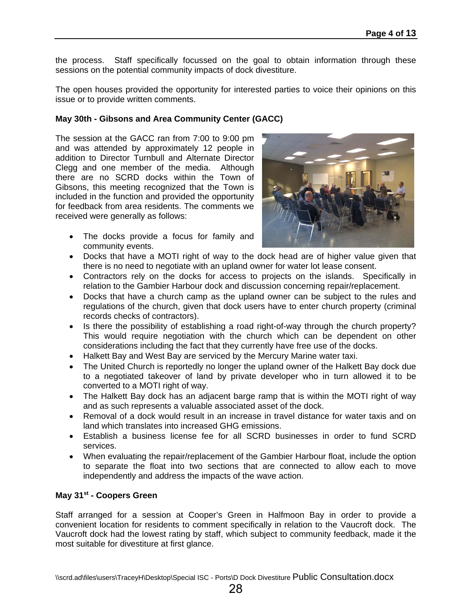the process. Staff specifically focussed on the goal to obtain information through these sessions on the potential community impacts of dock divestiture.

The open houses provided the opportunity for interested parties to voice their opinions on this issue or to provide written comments.

#### **May 30th - Gibsons and Area Community Center (GACC)**

The session at the GACC ran from 7:00 to 9:00 pm and was attended by approximately 12 people in addition to Director Turnbull and Alternate Director Clegg and one member of the media. Although there are no SCRD docks within the Town of Gibsons, this meeting recognized that the Town is included in the function and provided the opportunity for feedback from area residents. The comments we received were generally as follows:

 The docks provide a focus for family and community events.



- Docks that have a MOTI right of way to the dock head are of higher value given that there is no need to negotiate with an upland owner for water lot lease consent.
- Contractors rely on the docks for access to projects on the islands. Specifically in relation to the Gambier Harbour dock and discussion concerning repair/replacement.
- Docks that have a church camp as the upland owner can be subject to the rules and regulations of the church, given that dock users have to enter church property (criminal records checks of contractors).
- Is there the possibility of establishing a road right-of-way through the church property? This would require negotiation with the church which can be dependent on other considerations including the fact that they currently have free use of the docks.
- Halkett Bay and West Bay are serviced by the Mercury Marine water taxi.
- The United Church is reportedly no longer the upland owner of the Halkett Bay dock due to a negotiated takeover of land by private developer who in turn allowed it to be converted to a MOTI right of way.
- The Halkett Bay dock has an adjacent barge ramp that is within the MOTI right of way and as such represents a valuable associated asset of the dock.
- Removal of a dock would result in an increase in travel distance for water taxis and on land which translates into increased GHG emissions.
- Establish a business license fee for all SCRD businesses in order to fund SCRD services.
- When evaluating the repair/replacement of the Gambier Harbour float, include the option to separate the float into two sections that are connected to allow each to move independently and address the impacts of the wave action.

#### **May 31st - Coopers Green**

Staff arranged for a session at Cooper's Green in Halfmoon Bay in order to provide a convenient location for residents to comment specifically in relation to the Vaucroft dock. The Vaucroft dock had the lowest rating by staff, which subject to community feedback, made it the most suitable for divestiture at first glance.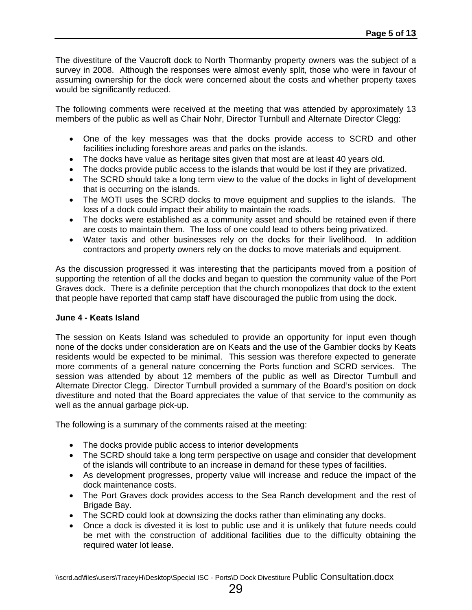The divestiture of the Vaucroft dock to North Thormanby property owners was the subject of a survey in 2008. Although the responses were almost evenly split, those who were in favour of assuming ownership for the dock were concerned about the costs and whether property taxes would be significantly reduced.

The following comments were received at the meeting that was attended by approximately 13 members of the public as well as Chair Nohr, Director Turnbull and Alternate Director Clegg:

- One of the key messages was that the docks provide access to SCRD and other facilities including foreshore areas and parks on the islands.
- The docks have value as heritage sites given that most are at least 40 years old.
- The docks provide public access to the islands that would be lost if they are privatized.
- The SCRD should take a long term view to the value of the docks in light of development that is occurring on the islands.
- The MOTI uses the SCRD docks to move equipment and supplies to the islands. The loss of a dock could impact their ability to maintain the roads.
- The docks were established as a community asset and should be retained even if there are costs to maintain them. The loss of one could lead to others being privatized.
- Water taxis and other businesses rely on the docks for their livelihood. In addition contractors and property owners rely on the docks to move materials and equipment.

As the discussion progressed it was interesting that the participants moved from a position of supporting the retention of all the docks and began to question the community value of the Port Graves dock. There is a definite perception that the church monopolizes that dock to the extent that people have reported that camp staff have discouraged the public from using the dock.

#### **June 4 - Keats Island**

The session on Keats Island was scheduled to provide an opportunity for input even though none of the docks under consideration are on Keats and the use of the Gambier docks by Keats residents would be expected to be minimal. This session was therefore expected to generate more comments of a general nature concerning the Ports function and SCRD services. The session was attended by about 12 members of the public as well as Director Turnbull and Alternate Director Clegg. Director Turnbull provided a summary of the Board's position on dock divestiture and noted that the Board appreciates the value of that service to the community as well as the annual garbage pick-up.

The following is a summary of the comments raised at the meeting:

- The docks provide public access to interior developments
- The SCRD should take a long term perspective on usage and consider that development of the islands will contribute to an increase in demand for these types of facilities.
- As development progresses, property value will increase and reduce the impact of the dock maintenance costs.
- The Port Graves dock provides access to the Sea Ranch development and the rest of Brigade Bay.
- The SCRD could look at downsizing the docks rather than eliminating any docks.
- Once a dock is divested it is lost to public use and it is unlikely that future needs could be met with the construction of additional facilities due to the difficulty obtaining the required water lot lease.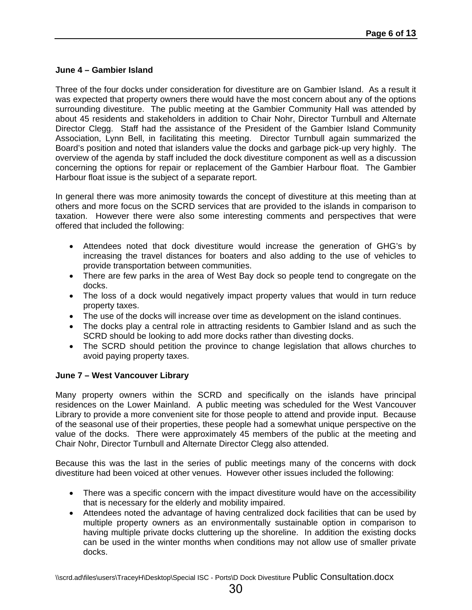#### **June 4 – Gambier Island**

Three of the four docks under consideration for divestiture are on Gambier Island. As a result it was expected that property owners there would have the most concern about any of the options surrounding divestiture. The public meeting at the Gambier Community Hall was attended by about 45 residents and stakeholders in addition to Chair Nohr, Director Turnbull and Alternate Director Clegg. Staff had the assistance of the President of the Gambier Island Community Association, Lynn Bell, in facilitating this meeting. Director Turnbull again summarized the Board's position and noted that islanders value the docks and garbage pick-up very highly. The overview of the agenda by staff included the dock divestiture component as well as a discussion concerning the options for repair or replacement of the Gambier Harbour float. The Gambier Harbour float issue is the subject of a separate report.

In general there was more animosity towards the concept of divestiture at this meeting than at others and more focus on the SCRD services that are provided to the islands in comparison to taxation. However there were also some interesting comments and perspectives that were offered that included the following:

- Attendees noted that dock divestiture would increase the generation of GHG's by increasing the travel distances for boaters and also adding to the use of vehicles to provide transportation between communities.
- There are few parks in the area of West Bay dock so people tend to congregate on the docks.
- The loss of a dock would negatively impact property values that would in turn reduce property taxes.
- The use of the docks will increase over time as development on the island continues.
- The docks play a central role in attracting residents to Gambier Island and as such the SCRD should be looking to add more docks rather than divesting docks.
- The SCRD should petition the province to change legislation that allows churches to avoid paying property taxes.

#### **June 7 – West Vancouver Library**

Many property owners within the SCRD and specifically on the islands have principal residences on the Lower Mainland. A public meeting was scheduled for the West Vancouver Library to provide a more convenient site for those people to attend and provide input. Because of the seasonal use of their properties, these people had a somewhat unique perspective on the value of the docks. There were approximately 45 members of the public at the meeting and Chair Nohr, Director Turnbull and Alternate Director Clegg also attended.

Because this was the last in the series of public meetings many of the concerns with dock divestiture had been voiced at other venues. However other issues included the following:

- There was a specific concern with the impact divestiture would have on the accessibility that is necessary for the elderly and mobility impaired.
- Attendees noted the advantage of having centralized dock facilities that can be used by multiple property owners as an environmentally sustainable option in comparison to having multiple private docks cluttering up the shoreline. In addition the existing docks can be used in the winter months when conditions may not allow use of smaller private docks.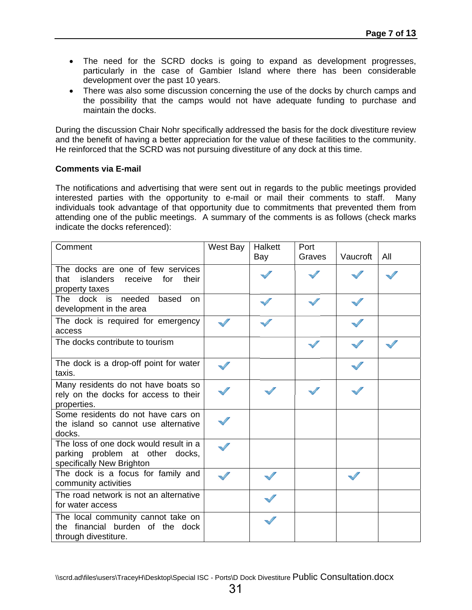- The need for the SCRD docks is going to expand as development progresses, particularly in the case of Gambier Island where there has been considerable development over the past 10 years.
- There was also some discussion concerning the use of the docks by church camps and the possibility that the camps would not have adequate funding to purchase and maintain the docks.

During the discussion Chair Nohr specifically addressed the basis for the dock divestiture review and the benefit of having a better appreciation for the value of these facilities to the community. He reinforced that the SCRD was not pursuing divestiture of any dock at this time.

#### **Comments via E-mail**

The notifications and advertising that were sent out in regards to the public meetings provided interested parties with the opportunity to e-mail or mail their comments to staff. Many individuals took advantage of that opportunity due to commitments that prevented them from attending one of the public meetings. A summary of the comments is as follows (check marks indicate the docks referenced):

| Comment                                                                                                | West Bay | Halkett | Port   |          |     |
|--------------------------------------------------------------------------------------------------------|----------|---------|--------|----------|-----|
|                                                                                                        |          | Bay     | Graves | Vaucroft | All |
| The docks are one of few services<br>islanders<br>that<br>receive<br>for<br>their<br>property taxes    |          |         |        |          |     |
| The<br>dock is needed<br>based<br>on.<br>development in the area                                       |          |         |        |          |     |
| The dock is required for emergency<br>access                                                           |          |         |        |          |     |
| The docks contribute to tourism                                                                        |          |         |        |          |     |
| The dock is a drop-off point for water<br>taxis.                                                       |          |         |        |          |     |
| Many residents do not have boats so<br>rely on the docks for access to their<br>properties.            |          |         |        |          |     |
| Some residents do not have cars on<br>the island so cannot use alternative<br>docks.                   |          |         |        |          |     |
| The loss of one dock would result in a<br>parking problem at other docks,<br>specifically New Brighton |          |         |        |          |     |
| The dock is a focus for family and<br>community activities                                             |          |         |        |          |     |
| The road network is not an alternative<br>for water access                                             |          |         |        |          |     |
| The local community cannot take on<br>the financial burden of the dock<br>through divestiture.         |          |         |        |          |     |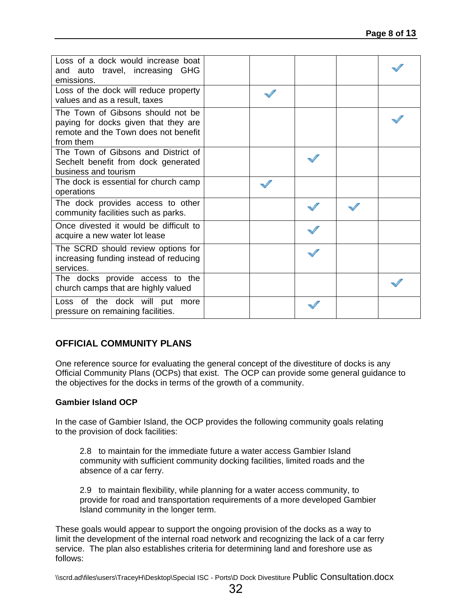| Loss of a dock would increase boat<br>and auto travel, increasing GHG<br>emissions.                                            |  |  |  |
|--------------------------------------------------------------------------------------------------------------------------------|--|--|--|
| Loss of the dock will reduce property<br>values and as a result, taxes                                                         |  |  |  |
| The Town of Gibsons should not be<br>paying for docks given that they are<br>remote and the Town does not benefit<br>from them |  |  |  |
| The Town of Gibsons and District of<br>Sechelt benefit from dock generated<br>business and tourism                             |  |  |  |
| The dock is essential for church camp<br>operations                                                                            |  |  |  |
| The dock provides access to other<br>community facilities such as parks.                                                       |  |  |  |
| Once divested it would be difficult to<br>acquire a new water lot lease                                                        |  |  |  |
| The SCRD should review options for<br>increasing funding instead of reducing<br>services.                                      |  |  |  |
| The docks provide access to the<br>church camps that are highly valued                                                         |  |  |  |
| Loss of the dock will put<br>more<br>pressure on remaining facilities.                                                         |  |  |  |

#### **OFFICIAL COMMUNITY PLANS**

One reference source for evaluating the general concept of the divestiture of docks is any Official Community Plans (OCPs) that exist. The OCP can provide some general guidance to the objectives for the docks in terms of the growth of a community.

#### **Gambier Island OCP**

In the case of Gambier Island, the OCP provides the following community goals relating to the provision of dock facilities:

2.8 to maintain for the immediate future a water access Gambier Island community with sufficient community docking facilities, limited roads and the absence of a car ferry.

2.9 to maintain flexibility, while planning for a water access community, to provide for road and transportation requirements of a more developed Gambier Island community in the longer term.

These goals would appear to support the ongoing provision of the docks as a way to limit the development of the internal road network and recognizing the lack of a car ferry service. The plan also establishes criteria for determining land and foreshore use as follows: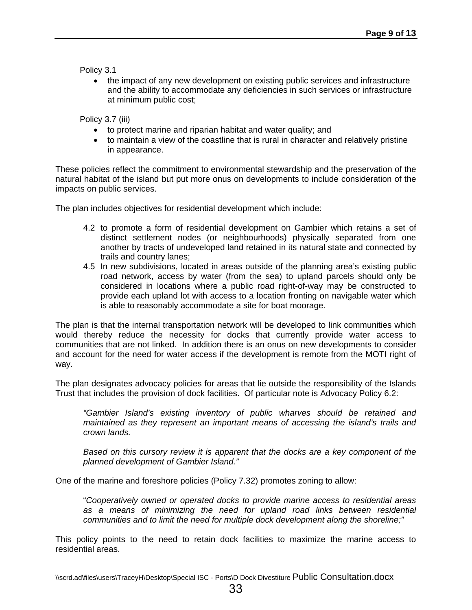Policy 3.1

 the impact of any new development on existing public services and infrastructure and the ability to accommodate any deficiencies in such services or infrastructure at minimum public cost;

Policy 3.7 (iii)

- to protect marine and riparian habitat and water quality; and
- to maintain a view of the coastline that is rural in character and relatively pristine in appearance.

These policies reflect the commitment to environmental stewardship and the preservation of the natural habitat of the island but put more onus on developments to include consideration of the impacts on public services.

The plan includes objectives for residential development which include:

- 4.2 to promote a form of residential development on Gambier which retains a set of distinct settlement nodes (or neighbourhoods) physically separated from one another by tracts of undeveloped land retained in its natural state and connected by trails and country lanes;
- 4.5 In new subdivisions, located in areas outside of the planning area's existing public road network, access by water (from the sea) to upland parcels should only be considered in locations where a public road right-of-way may be constructed to provide each upland lot with access to a location fronting on navigable water which is able to reasonably accommodate a site for boat moorage.

The plan is that the internal transportation network will be developed to link communities which would thereby reduce the necessity for docks that currently provide water access to communities that are not linked. In addition there is an onus on new developments to consider and account for the need for water access if the development is remote from the MOTI right of way.

The plan designates advocacy policies for areas that lie outside the responsibility of the Islands Trust that includes the provision of dock facilities. Of particular note is Advocacy Policy 6.2:

*"Gambier Island's existing inventory of public wharves should be retained and maintained as they represent an important means of accessing the island's trails and crown lands.* 

*Based on this cursory review it is apparent that the docks are a key component of the planned development of Gambier Island."* 

One of the marine and foreshore policies (Policy 7.32) promotes zoning to allow:

"*Cooperatively owned or operated docks to provide marine access to residential areas as a means of minimizing the need for upland road links between residential communities and to limit the need for multiple dock development along the shoreline;"* 

This policy points to the need to retain dock facilities to maximize the marine access to residential areas.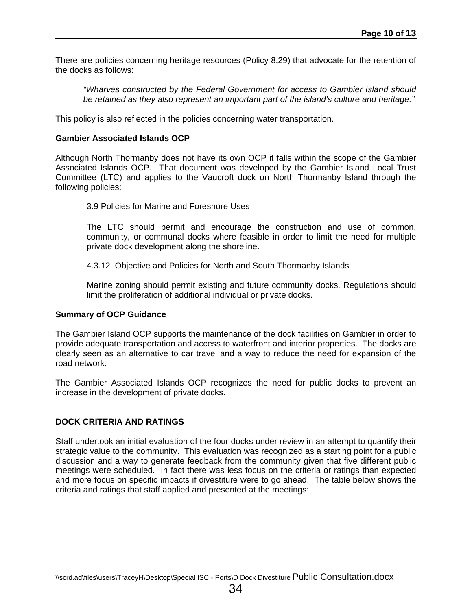There are policies concerning heritage resources (Policy 8.29) that advocate for the retention of the docks as follows:

*"Wharves constructed by the Federal Government for access to Gambier Island should be retained as they also represent an important part of the island's culture and heritage."* 

This policy is also reflected in the policies concerning water transportation.

#### **Gambier Associated Islands OCP**

Although North Thormanby does not have its own OCP it falls within the scope of the Gambier Associated Islands OCP. That document was developed by the Gambier Island Local Trust Committee (LTC) and applies to the Vaucroft dock on North Thormanby Island through the following policies:

3.9 Policies for Marine and Foreshore Uses

The LTC should permit and encourage the construction and use of common, community, or communal docks where feasible in order to limit the need for multiple private dock development along the shoreline.

4.3.12 Objective and Policies for North and South Thormanby Islands

Marine zoning should permit existing and future community docks. Regulations should limit the proliferation of additional individual or private docks.

#### **Summary of OCP Guidance**

The Gambier Island OCP supports the maintenance of the dock facilities on Gambier in order to provide adequate transportation and access to waterfront and interior properties. The docks are clearly seen as an alternative to car travel and a way to reduce the need for expansion of the road network.

The Gambier Associated Islands OCP recognizes the need for public docks to prevent an increase in the development of private docks.

#### **DOCK CRITERIA AND RATINGS**

Staff undertook an initial evaluation of the four docks under review in an attempt to quantify their strategic value to the community. This evaluation was recognized as a starting point for a public discussion and a way to generate feedback from the community given that five different public meetings were scheduled. In fact there was less focus on the criteria or ratings than expected and more focus on specific impacts if divestiture were to go ahead. The table below shows the criteria and ratings that staff applied and presented at the meetings: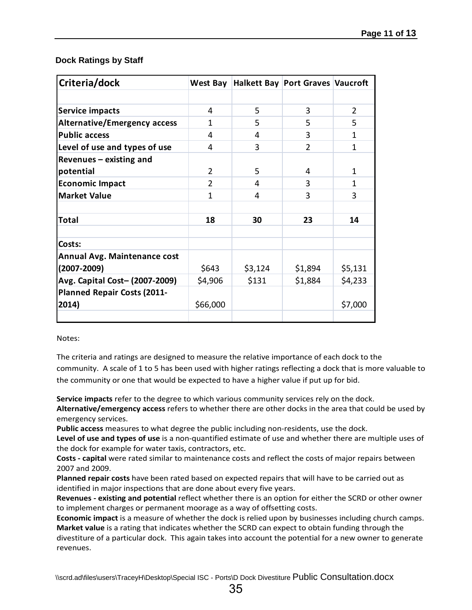#### **Dock Ratings by Staff**

| Criteria/dock                       | West Bay       |         | Halkett Bay Port Graves Vaucroft |               |
|-------------------------------------|----------------|---------|----------------------------------|---------------|
|                                     |                |         |                                  |               |
| <b>Service impacts</b>              | 4              | 5       | 3                                | $\mathcal{P}$ |
| <b>Alternative/Emergency access</b> | 1              | 5       | 5                                | 5.            |
| <b>Public access</b>                | 4              | 4       | 3                                | 1             |
| Level of use and types of use       | 4              | 3       | $\overline{2}$                   | 1             |
| Revenues - existing and             |                |         |                                  |               |
| potential                           | $\overline{2}$ | 5       | 4                                | 1             |
| <b>Economic Impact</b>              | 2              | 4       | 3                                | 1             |
| <b>Market Value</b>                 | 1              | 4       | 3                                | 3             |
|                                     |                |         |                                  |               |
| <b>Total</b>                        | 18             | 30      | 23                               | 14            |
|                                     |                |         |                                  |               |
| Costs:                              |                |         |                                  |               |
| <b>Annual Avg. Maintenance cost</b> |                |         |                                  |               |
| $(2007 - 2009)$                     | \$643          | \$3,124 | \$1,894                          | \$5,131       |
| Avg. Capital Cost- (2007-2009)      | \$4,906        | \$131   | \$1,884                          | \$4,233       |
| Planned Repair Costs (2011-         |                |         |                                  |               |
| 2014)                               | \$66,000       |         |                                  | \$7,000       |
|                                     |                |         |                                  |               |

Notes:

The criteria and ratings are designed to measure the relative importance of each dock to the community. A scale of 1 to 5 has been used with higher ratings reflecting a dock that is more valuable to the community or one that would be expected to have a higher value if put up for bid.

**Service impacts** refer to the degree to which various community services rely on the dock.

**Alternative/emergency access** refers to whether there are other docks in the area that could be used by emergency services.

**Public access** measures to what degree the public including non‐residents, use the dock.

**Level of use and types of use** is a non‐quantified estimate of use and whether there are multiple uses of the dock for example for water taxis, contractors, etc.

**Costs ‐ capital** were rated similar to maintenance costs and reflect the costs of major repairs between 2007 and 2009.

**Planned repair costs** have been rated based on expected repairs that will have to be carried out as identified in major inspections that are done about every five years.

**Revenues ‐ existing and potential** reflect whether there is an option for either the SCRD or other owner to implement charges or permanent moorage as a way of offsetting costs.

**Economic impact** is a measure of whether the dock is relied upon by businesses including church camps. **Market value** is a rating that indicates whether the SCRD can expect to obtain funding through the divestiture of a particular dock. This again takes into account the potential for a new owner to generate revenues.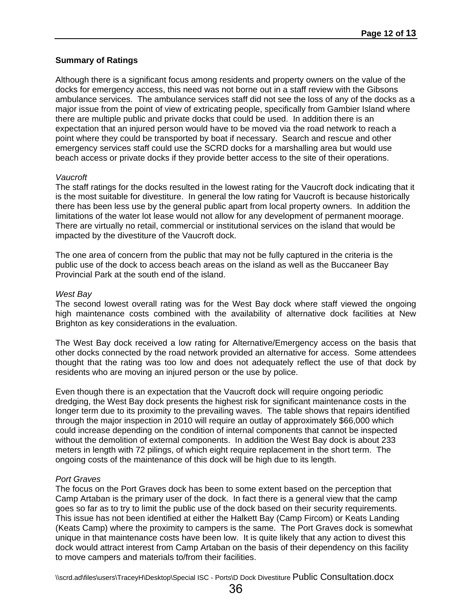#### **Summary of Ratings**

Although there is a significant focus among residents and property owners on the value of the docks for emergency access, this need was not borne out in a staff review with the Gibsons ambulance services. The ambulance services staff did not see the loss of any of the docks as a major issue from the point of view of extricating people, specifically from Gambier Island where there are multiple public and private docks that could be used. In addition there is an expectation that an injured person would have to be moved via the road network to reach a point where they could be transported by boat if necessary. Search and rescue and other emergency services staff could use the SCRD docks for a marshalling area but would use beach access or private docks if they provide better access to the site of their operations.

#### *Vaucroft*

The staff ratings for the docks resulted in the lowest rating for the Vaucroft dock indicating that it is the most suitable for divestiture. In general the low rating for Vaucroft is because historically there has been less use by the general public apart from local property owners. In addition the limitations of the water lot lease would not allow for any development of permanent moorage. There are virtually no retail, commercial or institutional services on the island that would be impacted by the divestiture of the Vaucroft dock.

The one area of concern from the public that may not be fully captured in the criteria is the public use of the dock to access beach areas on the island as well as the Buccaneer Bay Provincial Park at the south end of the island.

#### *West Bay*

The second lowest overall rating was for the West Bay dock where staff viewed the ongoing high maintenance costs combined with the availability of alternative dock facilities at New Brighton as key considerations in the evaluation.

The West Bay dock received a low rating for Alternative/Emergency access on the basis that other docks connected by the road network provided an alternative for access. Some attendees thought that the rating was too low and does not adequately reflect the use of that dock by residents who are moving an injured person or the use by police.

Even though there is an expectation that the Vaucroft dock will require ongoing periodic dredging, the West Bay dock presents the highest risk for significant maintenance costs in the longer term due to its proximity to the prevailing waves. The table shows that repairs identified through the major inspection in 2010 will require an outlay of approximately \$66,000 which could increase depending on the condition of internal components that cannot be inspected without the demolition of external components. In addition the West Bay dock is about 233 meters in length with 72 pilings, of which eight require replacement in the short term. The ongoing costs of the maintenance of this dock will be high due to its length.

#### *Port Graves*

The focus on the Port Graves dock has been to some extent based on the perception that Camp Artaban is the primary user of the dock. In fact there is a general view that the camp goes so far as to try to limit the public use of the dock based on their security requirements. This issue has not been identified at either the Halkett Bay (Camp Fircom) or Keats Landing (Keats Camp) where the proximity to campers is the same. The Port Graves dock is somewhat unique in that maintenance costs have been low. It is quite likely that any action to divest this dock would attract interest from Camp Artaban on the basis of their dependency on this facility to move campers and materials to/from their facilities.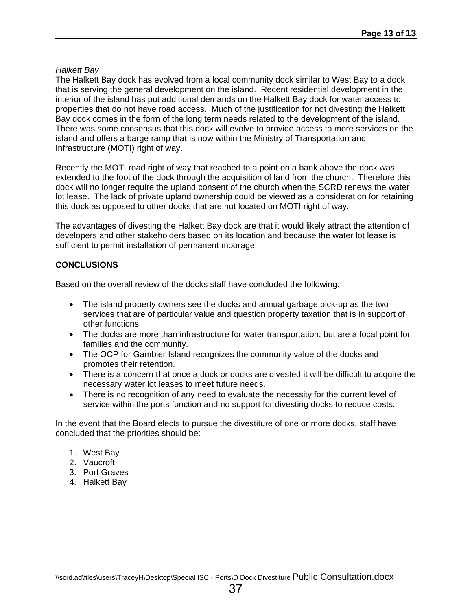#### *Halkett Bay*

The Halkett Bay dock has evolved from a local community dock similar to West Bay to a dock that is serving the general development on the island. Recent residential development in the interior of the island has put additional demands on the Halkett Bay dock for water access to properties that do not have road access. Much of the justification for not divesting the Halkett Bay dock comes in the form of the long term needs related to the development of the island. There was some consensus that this dock will evolve to provide access to more services on the island and offers a barge ramp that is now within the Ministry of Transportation and Infrastructure (MOTI) right of way.

Recently the MOTI road right of way that reached to a point on a bank above the dock was extended to the foot of the dock through the acquisition of land from the church. Therefore this dock will no longer require the upland consent of the church when the SCRD renews the water lot lease. The lack of private upland ownership could be viewed as a consideration for retaining this dock as opposed to other docks that are not located on MOTI right of way.

The advantages of divesting the Halkett Bay dock are that it would likely attract the attention of developers and other stakeholders based on its location and because the water lot lease is sufficient to permit installation of permanent moorage.

#### **CONCLUSIONS**

Based on the overall review of the docks staff have concluded the following:

- The island property owners see the docks and annual garbage pick-up as the two services that are of particular value and question property taxation that is in support of other functions.
- The docks are more than infrastructure for water transportation, but are a focal point for families and the community.
- The OCP for Gambier Island recognizes the community value of the docks and promotes their retention.
- There is a concern that once a dock or docks are divested it will be difficult to acquire the necessary water lot leases to meet future needs.
- There is no recognition of any need to evaluate the necessity for the current level of service within the ports function and no support for divesting docks to reduce costs.

In the event that the Board elects to pursue the divestiture of one or more docks, staff have concluded that the priorities should be:

- 1. West Bay
- 2. Vaucroft
- 3. Port Graves
- 4. Halkett Bay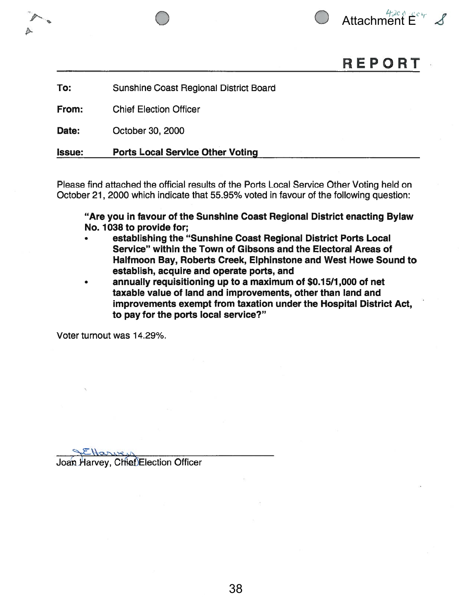



# REPORT

To: Sunshine Coast Regional District Board

From: Chief Election Officer

Date: October 30, 2000

Issue: Ports Local Service Other Voting

Please find attached the official results of the Ports Local Service Other Voting held on October 21, 2000 which indicate that 55.95% voted in favour of the following question:

"Are you in favour of the Sunshine Coast Regional District enacting Bylaw No. 1038 to provide for;

- • establishing the "Sunshine Coast Regional District Ports Local Service" within the Town of Gibsons and the Electoral Areas of Halfmoon Bay, Roberts Creek, Elphinstone and West Howe Sound to establish, acquire and operate ports, and
- • annually requisitioning up to <sup>a</sup> maximum of \$0.1 5/1 ,000 of net taxable value of land and improvements, other than land and improvements exemp<sup>t</sup> from taxation under the Hospital District Act, to pay for the ports local service?"

Voter turnout was 14.29%.

Harvey Joan Harvey, Chief Election Officer